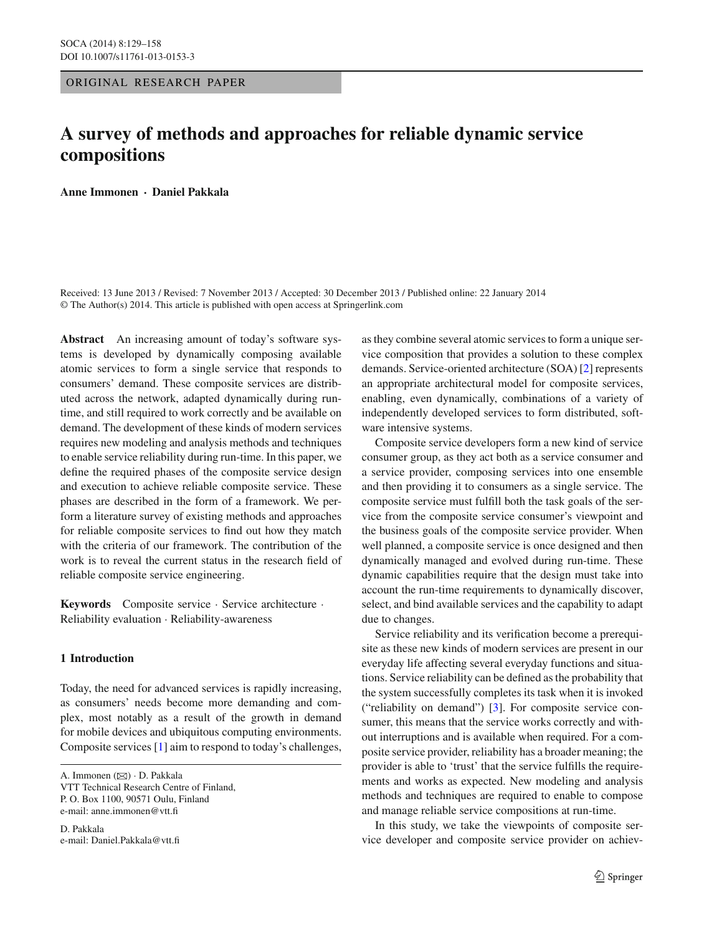## ORIGINAL RESEARCH PAPER

# **A survey of methods and approaches for reliable dynamic service compositions**

**Anne Immonen · Daniel Pakkala**

Received: 13 June 2013 / Revised: 7 November 2013 / Accepted: 30 December 2013 / Published online: 22 January 2014 © The Author(s) 2014. This article is published with open access at Springerlink.com

**Abstract** An increasing amount of today's software systems is developed by dynamically composing available atomic services to form a single service that responds to consumers' demand. These composite services are distributed across the network, adapted dynamically during runtime, and still required to work correctly and be available on demand. The development of these kinds of modern services requires new modeling and analysis methods and techniques to enable service reliability during run-time. In this paper, we define the required phases of the composite service design and execution to achieve reliable composite service. These phases are described in the form of a framework. We perform a literature survey of existing methods and approaches for reliable composite services to find out how they match with the criteria of our framework. The contribution of the work is to reveal the current status in the research field of reliable composite service engineering.

**Keywords** Composite service · Service architecture · Reliability evaluation · Reliability-awareness

# **1 Introduction**

Today, the need for advanced services is rapidly increasing, as consumers' needs become more demanding and complex, most notably as a result of the growth in demand for mobile devices and ubiquitous computing environments. Composite services [\[1\]](#page-27-0) aim to respond to today's challenges,

A. Immonen (⊠) · D. Pakkala

VTT Technical Research Centre of Finland, P. O. Box 1100, 90571 Oulu, Finland e-mail: anne.immonen@vtt.fi

D. Pakkala e-mail: Daniel.Pakkala@vtt.fi as they combine several atomic services to form a unique service composition that provides a solution to these complex demands. Service-oriented architecture (SOA) [\[2\]](#page-27-1) represents an appropriate architectural model for composite services, enabling, even dynamically, combinations of a variety of independently developed services to form distributed, software intensive systems.

Composite service developers form a new kind of service consumer group, as they act both as a service consumer and a service provider, composing services into one ensemble and then providing it to consumers as a single service. The composite service must fulfill both the task goals of the service from the composite service consumer's viewpoint and the business goals of the composite service provider. When well planned, a composite service is once designed and then dynamically managed and evolved during run-time. These dynamic capabilities require that the design must take into account the run-time requirements to dynamically discover, select, and bind available services and the capability to adapt due to changes.

Service reliability and its verification become a prerequisite as these new kinds of modern services are present in our everyday life affecting several everyday functions and situations. Service reliability can be defined as the probability that the system successfully completes its task when it is invoked ("reliability on demand") [\[3](#page-27-2)]. For composite service consumer, this means that the service works correctly and without interruptions and is available when required. For a composite service provider, reliability has a broader meaning; the provider is able to 'trust' that the service fulfills the requirements and works as expected. New modeling and analysis methods and techniques are required to enable to compose and manage reliable service compositions at run-time.

In this study, we take the viewpoints of composite service developer and composite service provider on achiev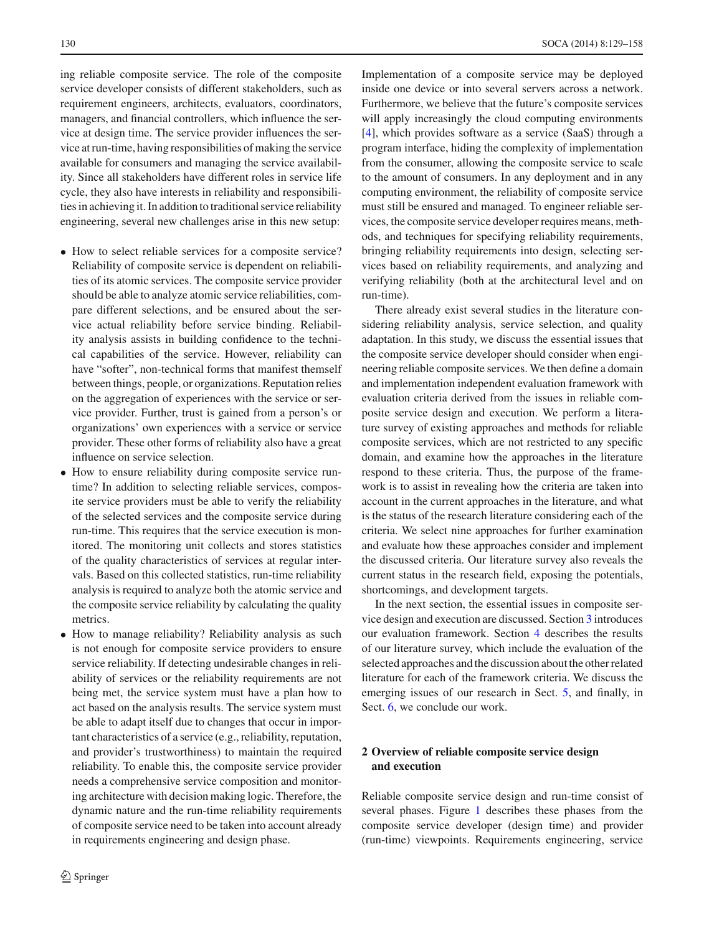ing reliable composite service. The role of the composite service developer consists of different stakeholders, such as requirement engineers, architects, evaluators, coordinators, managers, and financial controllers, which influence the service at design time. The service provider influences the service at run-time, having responsibilities of making the service available for consumers and managing the service availability. Since all stakeholders have different roles in service life cycle, they also have interests in reliability and responsibilities in achieving it. In addition to traditional service reliability engineering, several new challenges arise in this new setup:

- How to select reliable services for a composite service? Reliability of composite service is dependent on reliabilities of its atomic services. The composite service provider should be able to analyze atomic service reliabilities, compare different selections, and be ensured about the service actual reliability before service binding. Reliability analysis assists in building confidence to the technical capabilities of the service. However, reliability can have "softer", non-technical forms that manifest themself between things, people, or organizations. Reputation relies on the aggregation of experiences with the service or service provider. Further, trust is gained from a person's or organizations' own experiences with a service or service provider. These other forms of reliability also have a great influence on service selection.
- How to ensure reliability during composite service runtime? In addition to selecting reliable services, composite service providers must be able to verify the reliability of the selected services and the composite service during run-time. This requires that the service execution is monitored. The monitoring unit collects and stores statistics of the quality characteristics of services at regular intervals. Based on this collected statistics, run-time reliability analysis is required to analyze both the atomic service and the composite service reliability by calculating the quality metrics.
- How to manage reliability? Reliability analysis as such is not enough for composite service providers to ensure service reliability. If detecting undesirable changes in reliability of services or the reliability requirements are not being met, the service system must have a plan how to act based on the analysis results. The service system must be able to adapt itself due to changes that occur in important characteristics of a service (e.g., reliability, reputation, and provider's trustworthiness) to maintain the required reliability. To enable this, the composite service provider needs a comprehensive service composition and monitoring architecture with decision making logic. Therefore, the dynamic nature and the run-time reliability requirements of composite service need to be taken into account already in requirements engineering and design phase.

Implementation of a composite service may be deployed inside one device or into several servers across a network. Furthermore, we believe that the future's composite services will apply increasingly the cloud computing environments [\[4](#page-27-3)], which provides software as a service (SaaS) through a program interface, hiding the complexity of implementation from the consumer, allowing the composite service to scale to the amount of consumers. In any deployment and in any computing environment, the reliability of composite service must still be ensured and managed. To engineer reliable services, the composite service developer requires means, methods, and techniques for specifying reliability requirements, bringing reliability requirements into design, selecting services based on reliability requirements, and analyzing and verifying reliability (both at the architectural level and on run-time).

There already exist several studies in the literature considering reliability analysis, service selection, and quality adaptation. In this study, we discuss the essential issues that the composite service developer should consider when engineering reliable composite services. We then define a domain and implementation independent evaluation framework with evaluation criteria derived from the issues in reliable composite service design and execution. We perform a literature survey of existing approaches and methods for reliable composite services, which are not restricted to any specific domain, and examine how the approaches in the literature respond to these criteria. Thus, the purpose of the framework is to assist in revealing how the criteria are taken into account in the current approaches in the literature, and what is the status of the research literature considering each of the criteria. We select nine approaches for further examination and evaluate how these approaches consider and implement the discussed criteria. Our literature survey also reveals the current status in the research field, exposing the potentials, shortcomings, and development targets.

In the next section, the essential issues in composite service design and execution are discussed. Section [3](#page-5-0) introduces our evaluation framework. Section [4](#page-12-0) describes the results of our literature survey, which include the evaluation of the selected approaches and the discussion about the other related literature for each of the framework criteria. We discuss the emerging issues of our research in Sect. [5,](#page-25-0) and finally, in Sect. [6,](#page-26-0) we conclude our work.

# <span id="page-1-0"></span>**2 Overview of reliable composite service design and execution**

Reliable composite service design and run-time consist of several phases. Figure [1](#page-2-0) describes these phases from the composite service developer (design time) and provider (run-time) viewpoints. Requirements engineering, service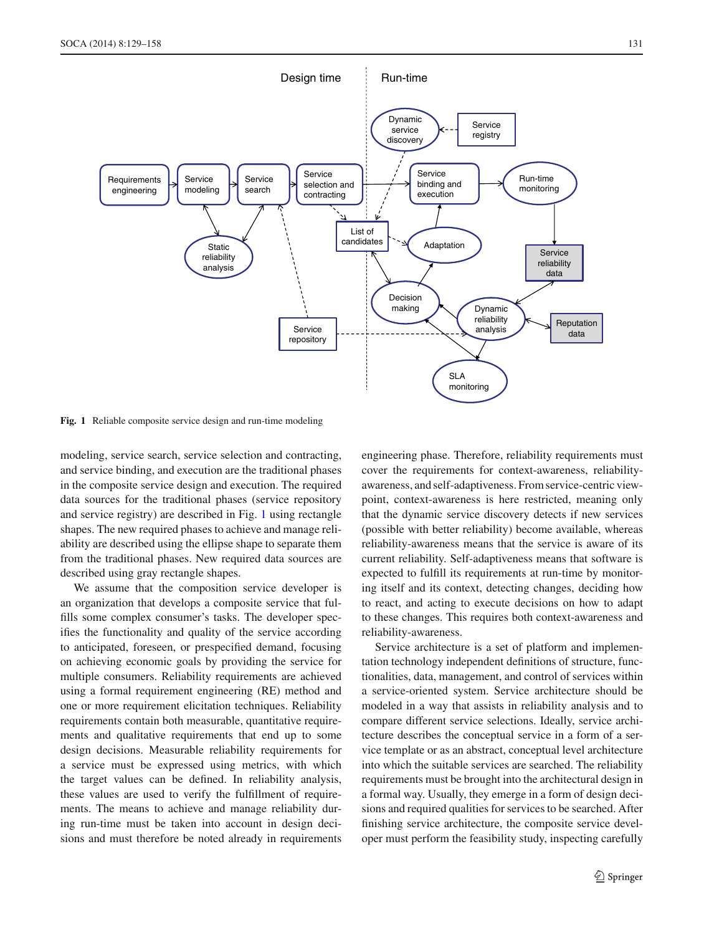

<span id="page-2-0"></span>**Fig. 1** Reliable composite service design and run-time modeling

modeling, service search, service selection and contracting, and service binding, and execution are the traditional phases in the composite service design and execution. The required data sources for the traditional phases (service repository and service registry) are described in Fig. [1](#page-2-0) using rectangle shapes. The new required phases to achieve and manage reliability are described using the ellipse shape to separate them from the traditional phases. New required data sources are described using gray rectangle shapes.

We assume that the composition service developer is an organization that develops a composite service that fulfills some complex consumer's tasks. The developer specifies the functionality and quality of the service according to anticipated, foreseen, or prespecified demand, focusing on achieving economic goals by providing the service for multiple consumers. Reliability requirements are achieved using a formal requirement engineering (RE) method and one or more requirement elicitation techniques. Reliability requirements contain both measurable, quantitative requirements and qualitative requirements that end up to some design decisions. Measurable reliability requirements for a service must be expressed using metrics, with which the target values can be defined. In reliability analysis, these values are used to verify the fulfillment of requirements. The means to achieve and manage reliability during run-time must be taken into account in design decisions and must therefore be noted already in requirements

engineering phase. Therefore, reliability requirements must cover the requirements for context-awareness, reliabilityawareness, and self-adaptiveness. From service-centric viewpoint, context-awareness is here restricted, meaning only that the dynamic service discovery detects if new services (possible with better reliability) become available, whereas reliability-awareness means that the service is aware of its current reliability. Self-adaptiveness means that software is expected to fulfill its requirements at run-time by monitoring itself and its context, detecting changes, deciding how to react, and acting to execute decisions on how to adapt to these changes. This requires both context-awareness and reliability-awareness.

Service architecture is a set of platform and implementation technology independent definitions of structure, functionalities, data, management, and control of services within a service-oriented system. Service architecture should be modeled in a way that assists in reliability analysis and to compare different service selections. Ideally, service architecture describes the conceptual service in a form of a service template or as an abstract, conceptual level architecture into which the suitable services are searched. The reliability requirements must be brought into the architectural design in a formal way. Usually, they emerge in a form of design decisions and required qualities for services to be searched. After finishing service architecture, the composite service developer must perform the feasibility study, inspecting carefully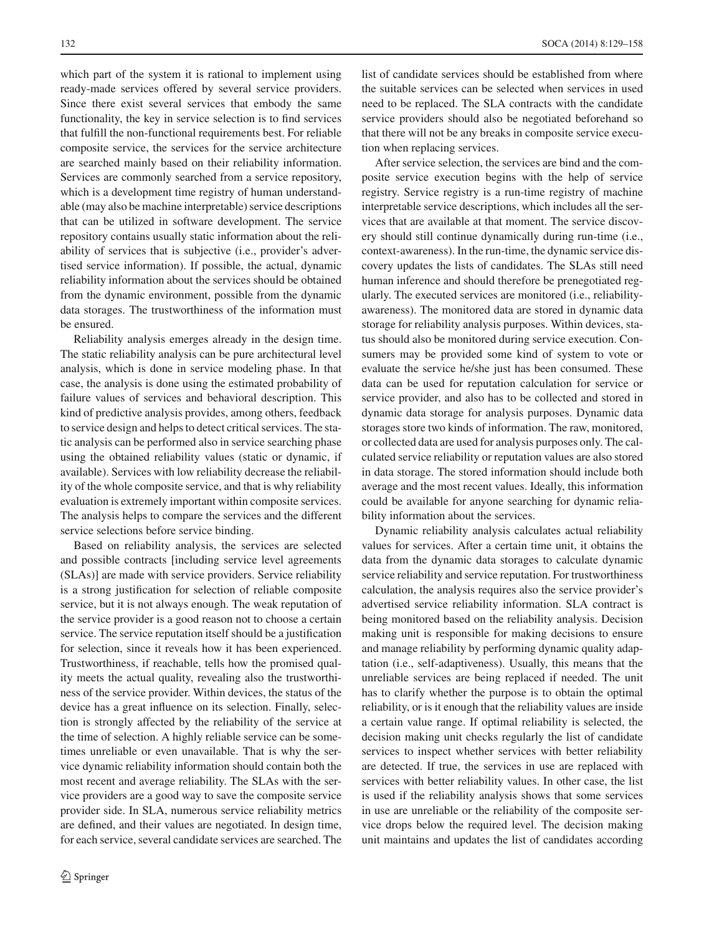which part of the system it is rational to implement using ready-made services offered by several service providers. Since there exist several services that embody the same functionality, the key in service selection is to find services that fulfill the non-functional requirements best. For reliable composite service, the services for the service architecture are searched mainly based on their reliability information. Services are commonly searched from a service repository, which is a development time registry of human understandable (may also be machine interpretable) service descriptions that can be utilized in software development. The service repository contains usually static information about the reliability of services that is subjective (i.e., provider's advertised service information). If possible, the actual, dynamic reliability information about the services should be obtained from the dynamic environment, possible from the dynamic data storages. The trustworthiness of the information must be ensured.

Reliability analysis emerges already in the design time. The static reliability analysis can be pure architectural level analysis, which is done in service modeling phase. In that case, the analysis is done using the estimated probability of failure values of services and behavioral description. This kind of predictive analysis provides, among others, feedback to service design and helps to detect critical services. The static analysis can be performed also in service searching phase using the obtained reliability values (static or dynamic, if available). Services with low reliability decrease the reliability of the whole composite service, and that is why reliability evaluation is extremely important within composite services. The analysis helps to compare the services and the different service selections before service binding.

Based on reliability analysis, the services are selected and possible contracts [including service level agreements (SLAs)] are made with service providers. Service reliability is a strong justification for selection of reliable composite service, but it is not always enough. The weak reputation of the service provider is a good reason not to choose a certain service. The service reputation itself should be a justification for selection, since it reveals how it has been experienced. Trustworthiness, if reachable, tells how the promised quality meets the actual quality, revealing also the trustworthiness of the service provider. Within devices, the status of the device has a great influence on its selection. Finally, selection is strongly affected by the reliability of the service at the time of selection. A highly reliable service can be sometimes unreliable or even unavailable. That is why the service dynamic reliability information should contain both the most recent and average reliability. The SLAs with the service providers are a good way to save the composite service provider side. In SLA, numerous service reliability metrics are defined, and their values are negotiated. In design time, for each service, several candidate services are searched. The

list of candidate services should be established from where the suitable services can be selected when services in used need to be replaced. The SLA contracts with the candidate service providers should also be negotiated beforehand so that there will not be any breaks in composite service execution when replacing services.

After service selection, the services are bind and the composite service execution begins with the help of service registry. Service registry is a run-time registry of machine interpretable service descriptions, which includes all the services that are available at that moment. The service discovery should still continue dynamically during run-time (i.e., context-awareness). In the run-time, the dynamic service discovery updates the lists of candidates. The SLAs still need human inference and should therefore be prenegotiated regularly. The executed services are monitored (i.e., reliabilityawareness). The monitored data are stored in dynamic data storage for reliability analysis purposes. Within devices, status should also be monitored during service execution. Consumers may be provided some kind of system to vote or evaluate the service he/she just has been consumed. These data can be used for reputation calculation for service or service provider, and also has to be collected and stored in dynamic data storage for analysis purposes. Dynamic data storages store two kinds of information. The raw, monitored, or collected data are used for analysis purposes only. The calculated service reliability or reputation values are also stored in data storage. The stored information should include both average and the most recent values. Ideally, this information could be available for anyone searching for dynamic reliability information about the services.

Dynamic reliability analysis calculates actual reliability values for services. After a certain time unit, it obtains the data from the dynamic data storages to calculate dynamic service reliability and service reputation. For trustworthiness calculation, the analysis requires also the service provider's advertised service reliability information. SLA contract is being monitored based on the reliability analysis. Decision making unit is responsible for making decisions to ensure and manage reliability by performing dynamic quality adaptation (i.e., self-adaptiveness). Usually, this means that the unreliable services are being replaced if needed. The unit has to clarify whether the purpose is to obtain the optimal reliability, or is it enough that the reliability values are inside a certain value range. If optimal reliability is selected, the decision making unit checks regularly the list of candidate services to inspect whether services with better reliability are detected. If true, the services in use are replaced with services with better reliability values. In other case, the list is used if the reliability analysis shows that some services in use are unreliable or the reliability of the composite service drops below the required level. The decision making unit maintains and updates the list of candidates according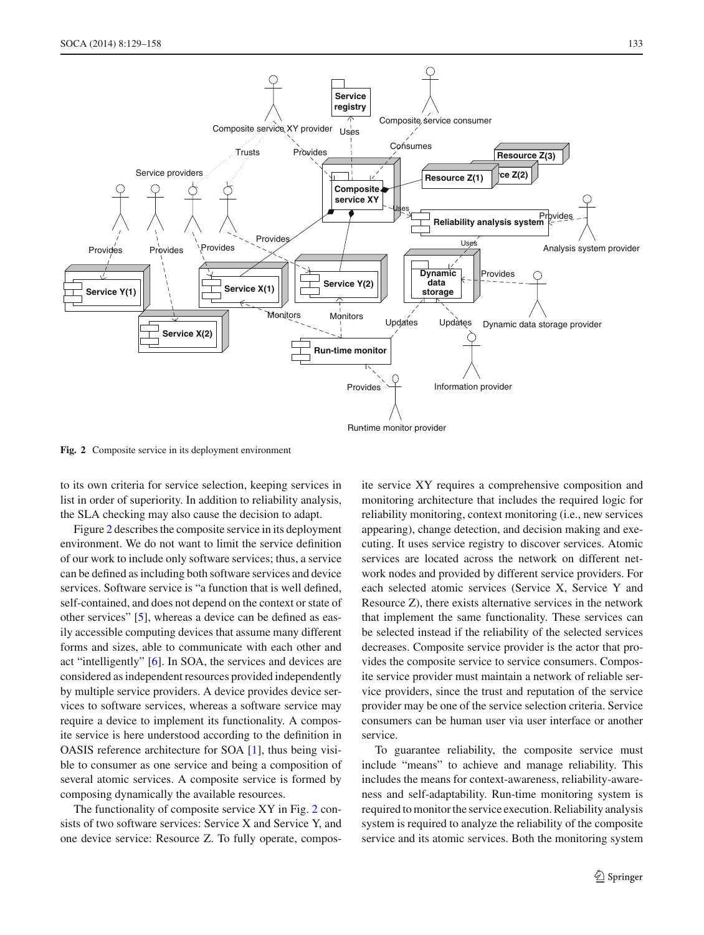

<span id="page-4-0"></span>**Fig. 2** Composite service in its deployment environment

to its own criteria for service selection, keeping services in list in order of superiority. In addition to reliability analysis, the SLA checking may also cause the decision to adapt.

Figure [2](#page-4-0) describes the composite service in its deployment environment. We do not want to limit the service definition of our work to include only software services; thus, a service can be defined as including both software services and device services. Software service is "a function that is well defined, self-contained, and does not depend on the context or state of other services" [\[5\]](#page-27-4), whereas a device can be defined as easily accessible computing devices that assume many different forms and sizes, able to communicate with each other and act "intelligently" [\[6](#page-27-5)]. In SOA, the services and devices are considered as independent resources provided independently by multiple service providers. A device provides device services to software services, whereas a software service may require a device to implement its functionality. A composite service is here understood according to the definition in OASIS reference architecture for SOA [\[1\]](#page-27-0), thus being visible to consumer as one service and being a composition of several atomic services. A composite service is formed by composing dynamically the available resources.

The functionality of composite service XY in Fig. [2](#page-4-0) consists of two software services: Service X and Service Y, and one device service: Resource Z. To fully operate, composite service XY requires a comprehensive composition and monitoring architecture that includes the required logic for reliability monitoring, context monitoring (i.e., new services appearing), change detection, and decision making and executing. It uses service registry to discover services. Atomic services are located across the network on different network nodes and provided by different service providers. For each selected atomic services (Service X, Service Y and Resource Z), there exists alternative services in the network that implement the same functionality. These services can be selected instead if the reliability of the selected services decreases. Composite service provider is the actor that provides the composite service to service consumers. Composite service provider must maintain a network of reliable service providers, since the trust and reputation of the service provider may be one of the service selection criteria. Service consumers can be human user via user interface or another service.

To guarantee reliability, the composite service must include "means" to achieve and manage reliability. This includes the means for context-awareness, reliability-awareness and self-adaptability. Run-time monitoring system is required to monitor the service execution. Reliability analysis system is required to analyze the reliability of the composite service and its atomic services. Both the monitoring system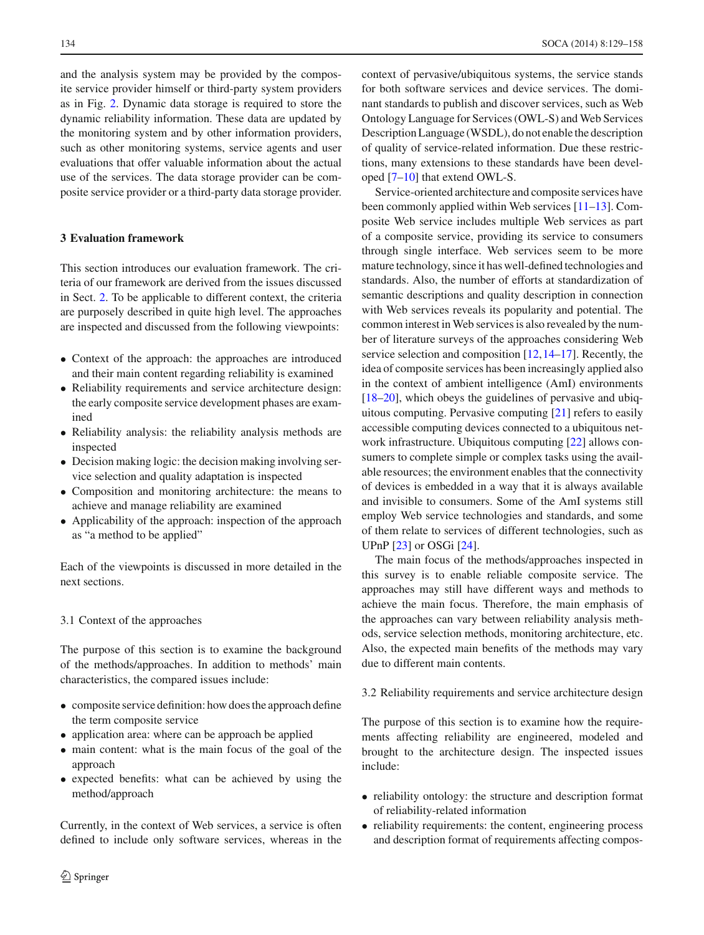and the analysis system may be provided by the composite service provider himself or third-party system providers as in Fig. [2.](#page-4-0) Dynamic data storage is required to store the dynamic reliability information. These data are updated by the monitoring system and by other information providers, such as other monitoring systems, service agents and user evaluations that offer valuable information about the actual use of the services. The data storage provider can be composite service provider or a third-party data storage provider.

# <span id="page-5-0"></span>**3 Evaluation framework**

This section introduces our evaluation framework. The criteria of our framework are derived from the issues discussed in Sect. [2.](#page-1-0) To be applicable to different context, the criteria are purposely described in quite high level. The approaches are inspected and discussed from the following viewpoints:

- Context of the approach: the approaches are introduced and their main content regarding reliability is examined
- Reliability requirements and service architecture design: the early composite service development phases are examined
- Reliability analysis: the reliability analysis methods are inspected
- Decision making logic: the decision making involving service selection and quality adaptation is inspected
- Composition and monitoring architecture: the means to achieve and manage reliability are examined
- Applicability of the approach: inspection of the approach as "a method to be applied"

Each of the viewpoints is discussed in more detailed in the next sections.

#### 3.1 Context of the approaches

The purpose of this section is to examine the background of the methods/approaches. In addition to methods' main characteristics, the compared issues include:

- composite service definition: how does the approach define the term composite service
- application area: where can be approach be applied
- main content: what is the main focus of the goal of the approach
- expected benefits: what can be achieved by using the method/approach

Currently, in the context of Web services, a service is often defined to include only software services, whereas in the context of pervasive/ubiquitous systems, the service stands for both software services and device services. The dominant standards to publish and discover services, such as Web Ontology Language for Services (OWL-S) and Web Services Description Language (WSDL), do not enable the description of quality of service-related information. Due these restrictions, many extensions to these standards have been developed [\[7](#page-27-6)[–10](#page-27-7)] that extend OWL-S.

Service-oriented architecture and composite services have been commonly applied within Web services [\[11](#page-27-8)[–13\]](#page-27-9). Composite Web service includes multiple Web services as part of a composite service, providing its service to consumers through single interface. Web services seem to be more mature technology, since it has well-defined technologies and standards. Also, the number of efforts at standardization of semantic descriptions and quality description in connection with Web services reveals its popularity and potential. The common interest in Web services is also revealed by the number of literature surveys of the approaches considering Web service selection and composition [\[12](#page-27-10)[,14](#page-27-11)[–17](#page-27-12)]. Recently, the idea of composite services has been increasingly applied also in the context of ambient intelligence (AmI) environments [\[18](#page-27-13)[–20](#page-27-14)], which obeys the guidelines of pervasive and ubiquitous computing. Pervasive computing [\[21\]](#page-27-15) refers to easily accessible computing devices connected to a ubiquitous network infrastructure. Ubiquitous computing [\[22\]](#page-27-16) allows consumers to complete simple or complex tasks using the available resources; the environment enables that the connectivity of devices is embedded in a way that it is always available and invisible to consumers. Some of the AmI systems still employ Web service technologies and standards, and some of them relate to services of different technologies, such as UPnP [\[23](#page-27-17)] or OSGi [\[24](#page-27-18)].

The main focus of the methods/approaches inspected in this survey is to enable reliable composite service. The approaches may still have different ways and methods to achieve the main focus. Therefore, the main emphasis of the approaches can vary between reliability analysis methods, service selection methods, monitoring architecture, etc. Also, the expected main benefits of the methods may vary due to different main contents.

3.2 Reliability requirements and service architecture design

The purpose of this section is to examine how the requirements affecting reliability are engineered, modeled and brought to the architecture design. The inspected issues include:

- reliability ontology: the structure and description format of reliability-related information
- reliability requirements: the content, engineering process and description format of requirements affecting compos-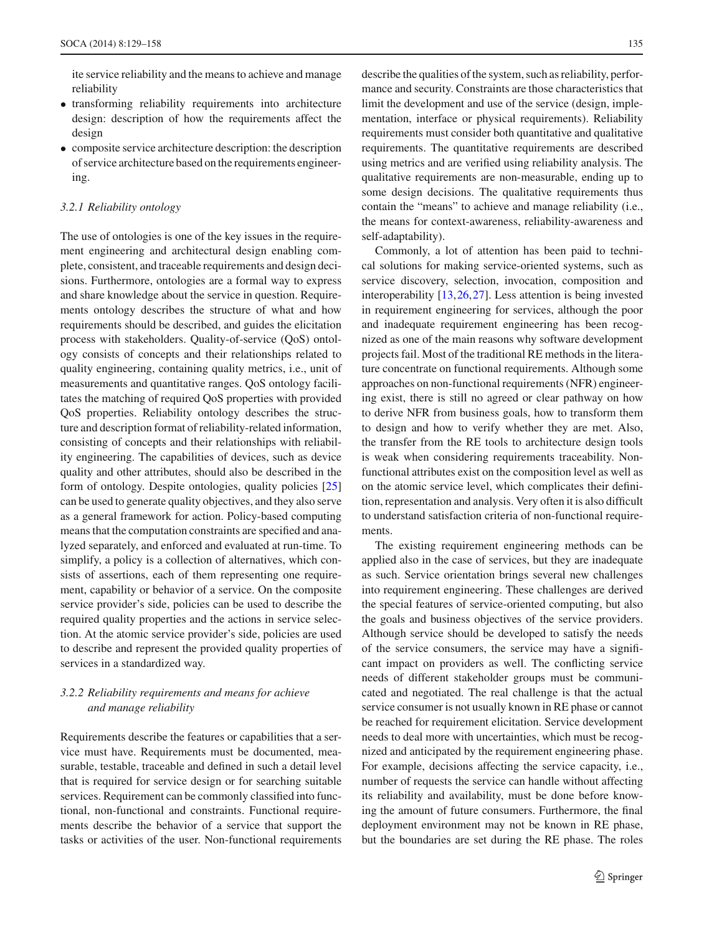ite service reliability and the means to achieve and manage reliability

- transforming reliability requirements into architecture design: description of how the requirements affect the design
- composite service architecture description: the description of service architecture based on the requirements engineering.

## *3.2.1 Reliability ontology*

The use of ontologies is one of the key issues in the requirement engineering and architectural design enabling complete, consistent, and traceable requirements and design decisions. Furthermore, ontologies are a formal way to express and share knowledge about the service in question. Requirements ontology describes the structure of what and how requirements should be described, and guides the elicitation process with stakeholders. Quality-of-service (QoS) ontology consists of concepts and their relationships related to quality engineering, containing quality metrics, i.e., unit of measurements and quantitative ranges. QoS ontology facilitates the matching of required QoS properties with provided QoS properties. Reliability ontology describes the structure and description format of reliability-related information, consisting of concepts and their relationships with reliability engineering. The capabilities of devices, such as device quality and other attributes, should also be described in the form of ontology. Despite ontologies, quality policies [\[25\]](#page-27-19) can be used to generate quality objectives, and they also serve as a general framework for action. Policy-based computing means that the computation constraints are specified and analyzed separately, and enforced and evaluated at run-time. To simplify, a policy is a collection of alternatives, which consists of assertions, each of them representing one requirement, capability or behavior of a service. On the composite service provider's side, policies can be used to describe the required quality properties and the actions in service selection. At the atomic service provider's side, policies are used to describe and represent the provided quality properties of services in a standardized way.

# *3.2.2 Reliability requirements and means for achieve and manage reliability*

Requirements describe the features or capabilities that a service must have. Requirements must be documented, measurable, testable, traceable and defined in such a detail level that is required for service design or for searching suitable services. Requirement can be commonly classified into functional, non-functional and constraints. Functional requirements describe the behavior of a service that support the tasks or activities of the user. Non-functional requirements describe the qualities of the system, such as reliability, performance and security. Constraints are those characteristics that limit the development and use of the service (design, implementation, interface or physical requirements). Reliability requirements must consider both quantitative and qualitative requirements. The quantitative requirements are described using metrics and are verified using reliability analysis. The qualitative requirements are non-measurable, ending up to some design decisions. The qualitative requirements thus contain the "means" to achieve and manage reliability (i.e., the means for context-awareness, reliability-awareness and self-adaptability).

Commonly, a lot of attention has been paid to technical solutions for making service-oriented systems, such as service discovery, selection, invocation, composition and interoperability [\[13,](#page-27-9)[26](#page-27-20)[,27](#page-27-21)]. Less attention is being invested in requirement engineering for services, although the poor and inadequate requirement engineering has been recognized as one of the main reasons why software development projects fail. Most of the traditional RE methods in the literature concentrate on functional requirements. Although some approaches on non-functional requirements (NFR) engineering exist, there is still no agreed or clear pathway on how to derive NFR from business goals, how to transform them to design and how to verify whether they are met. Also, the transfer from the RE tools to architecture design tools is weak when considering requirements traceability. Nonfunctional attributes exist on the composition level as well as on the atomic service level, which complicates their definition, representation and analysis. Very often it is also difficult to understand satisfaction criteria of non-functional requirements.

The existing requirement engineering methods can be applied also in the case of services, but they are inadequate as such. Service orientation brings several new challenges into requirement engineering. These challenges are derived the special features of service-oriented computing, but also the goals and business objectives of the service providers. Although service should be developed to satisfy the needs of the service consumers, the service may have a significant impact on providers as well. The conflicting service needs of different stakeholder groups must be communicated and negotiated. The real challenge is that the actual service consumer is not usually known in RE phase or cannot be reached for requirement elicitation. Service development needs to deal more with uncertainties, which must be recognized and anticipated by the requirement engineering phase. For example, decisions affecting the service capacity, i.e., number of requests the service can handle without affecting its reliability and availability, must be done before knowing the amount of future consumers. Furthermore, the final deployment environment may not be known in RE phase, but the boundaries are set during the RE phase. The roles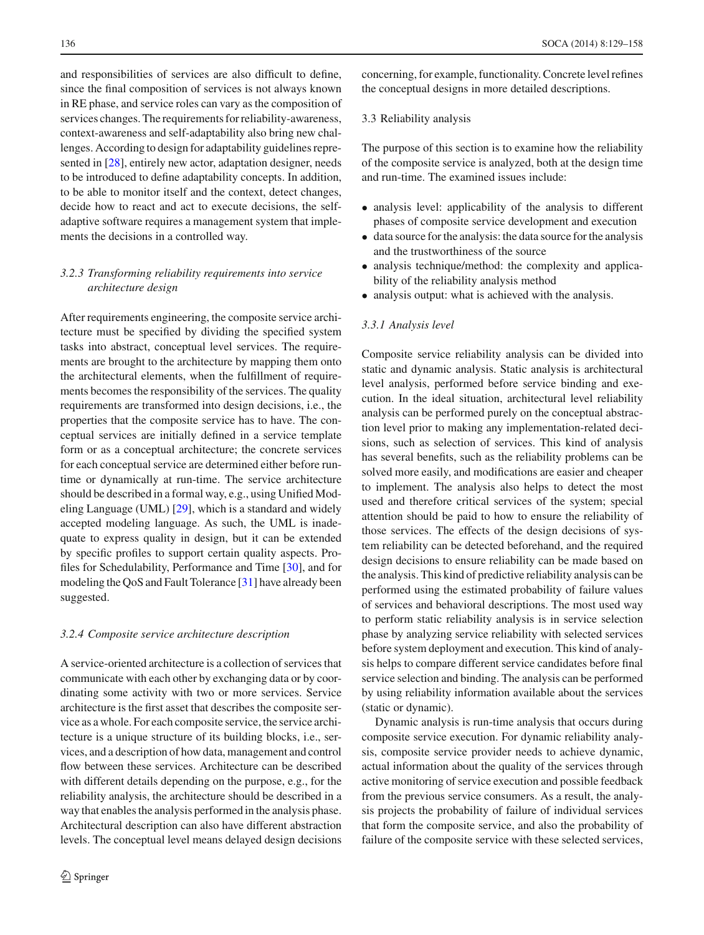and responsibilities of services are also difficult to define, since the final composition of services is not always known in RE phase, and service roles can vary as the composition of services changes. The requirements for reliability-awareness, context-awareness and self-adaptability also bring new challenges. According to design for adaptability guidelines represented in [\[28\]](#page-27-22), entirely new actor, adaptation designer, needs to be introduced to define adaptability concepts. In addition, to be able to monitor itself and the context, detect changes, decide how to react and act to execute decisions, the selfadaptive software requires a management system that implements the decisions in a controlled way.

# *3.2.3 Transforming reliability requirements into service architecture design*

After requirements engineering, the composite service architecture must be specified by dividing the specified system tasks into abstract, conceptual level services. The requirements are brought to the architecture by mapping them onto the architectural elements, when the fulfillment of requirements becomes the responsibility of the services. The quality requirements are transformed into design decisions, i.e., the properties that the composite service has to have. The conceptual services are initially defined in a service template form or as a conceptual architecture; the concrete services for each conceptual service are determined either before runtime or dynamically at run-time. The service architecture should be described in a formal way, e.g., using Unified Modeling Language (UML) [\[29](#page-27-23)], which is a standard and widely accepted modeling language. As such, the UML is inadequate to express quality in design, but it can be extended by specific profiles to support certain quality aspects. Profiles for Schedulability, Performance and Time [\[30](#page-27-24)], and for modeling the QoS and Fault Tolerance [\[31\]](#page-27-25) have already been suggested.

# *3.2.4 Composite service architecture description*

A service-oriented architecture is a collection of services that communicate with each other by exchanging data or by coordinating some activity with two or more services. Service architecture is the first asset that describes the composite service as a whole. For each composite service, the service architecture is a unique structure of its building blocks, i.e., services, and a description of how data, management and control flow between these services. Architecture can be described with different details depending on the purpose, e.g., for the reliability analysis, the architecture should be described in a way that enables the analysis performed in the analysis phase. Architectural description can also have different abstraction levels. The conceptual level means delayed design decisions concerning, for example, functionality. Concrete level refines the conceptual designs in more detailed descriptions.

#### 3.3 Reliability analysis

The purpose of this section is to examine how the reliability of the composite service is analyzed, both at the design time and run-time. The examined issues include:

- analysis level: applicability of the analysis to different phases of composite service development and execution
- data source for the analysis: the data source for the analysis and the trustworthiness of the source
- analysis technique/method: the complexity and applicability of the reliability analysis method
- analysis output: what is achieved with the analysis.

#### *3.3.1 Analysis level*

Composite service reliability analysis can be divided into static and dynamic analysis. Static analysis is architectural level analysis, performed before service binding and execution. In the ideal situation, architectural level reliability analysis can be performed purely on the conceptual abstraction level prior to making any implementation-related decisions, such as selection of services. This kind of analysis has several benefits, such as the reliability problems can be solved more easily, and modifications are easier and cheaper to implement. The analysis also helps to detect the most used and therefore critical services of the system; special attention should be paid to how to ensure the reliability of those services. The effects of the design decisions of system reliability can be detected beforehand, and the required design decisions to ensure reliability can be made based on the analysis. This kind of predictive reliability analysis can be performed using the estimated probability of failure values of services and behavioral descriptions. The most used way to perform static reliability analysis is in service selection phase by analyzing service reliability with selected services before system deployment and execution. This kind of analysis helps to compare different service candidates before final service selection and binding. The analysis can be performed by using reliability information available about the services (static or dynamic).

Dynamic analysis is run-time analysis that occurs during composite service execution. For dynamic reliability analysis, composite service provider needs to achieve dynamic, actual information about the quality of the services through active monitoring of service execution and possible feedback from the previous service consumers. As a result, the analysis projects the probability of failure of individual services that form the composite service, and also the probability of failure of the composite service with these selected services,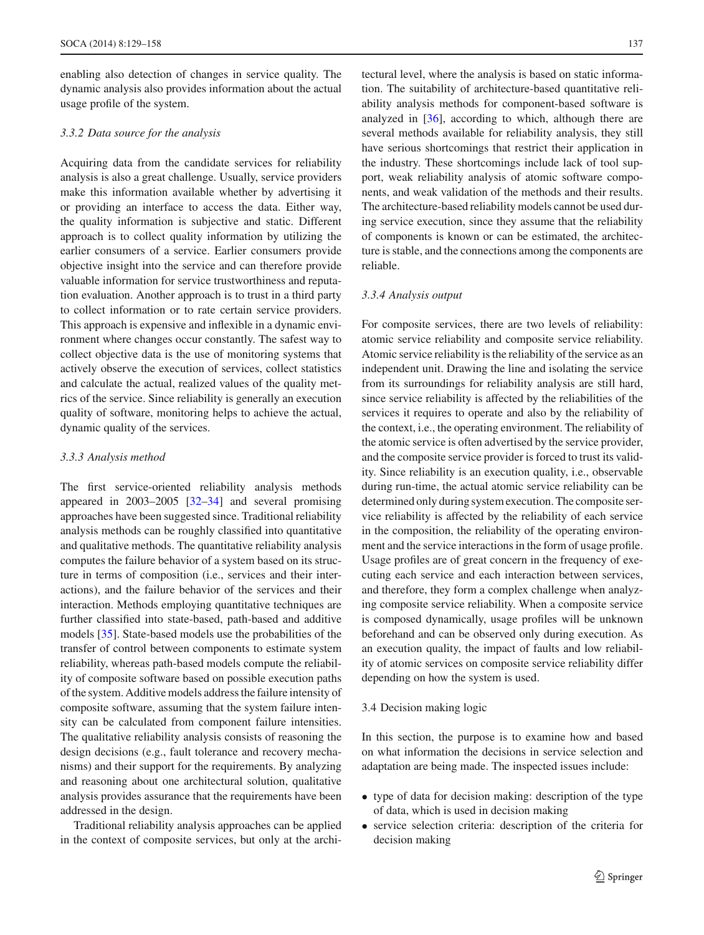enabling also detection of changes in service quality. The dynamic analysis also provides information about the actual usage profile of the system.

## <span id="page-8-0"></span>*3.3.2 Data source for the analysis*

Acquiring data from the candidate services for reliability analysis is also a great challenge. Usually, service providers make this information available whether by advertising it or providing an interface to access the data. Either way, the quality information is subjective and static. Different approach is to collect quality information by utilizing the earlier consumers of a service. Earlier consumers provide objective insight into the service and can therefore provide valuable information for service trustworthiness and reputation evaluation. Another approach is to trust in a third party to collect information or to rate certain service providers. This approach is expensive and inflexible in a dynamic environment where changes occur constantly. The safest way to collect objective data is the use of monitoring systems that actively observe the execution of services, collect statistics and calculate the actual, realized values of the quality metrics of the service. Since reliability is generally an execution quality of software, monitoring helps to achieve the actual, dynamic quality of the services.

#### *3.3.3 Analysis method*

The first service-oriented reliability analysis methods appeared in 2003–2005 [\[32](#page-27-26)[–34](#page-27-27)] and several promising approaches have been suggested since. Traditional reliability analysis methods can be roughly classified into quantitative and qualitative methods. The quantitative reliability analysis computes the failure behavior of a system based on its structure in terms of composition (i.e., services and their interactions), and the failure behavior of the services and their interaction. Methods employing quantitative techniques are further classified into state-based, path-based and additive models [\[35\]](#page-27-28). State-based models use the probabilities of the transfer of control between components to estimate system reliability, whereas path-based models compute the reliability of composite software based on possible execution paths of the system. Additive models address the failure intensity of composite software, assuming that the system failure intensity can be calculated from component failure intensities. The qualitative reliability analysis consists of reasoning the design decisions (e.g., fault tolerance and recovery mechanisms) and their support for the requirements. By analyzing and reasoning about one architectural solution, qualitative analysis provides assurance that the requirements have been addressed in the design.

Traditional reliability analysis approaches can be applied in the context of composite services, but only at the architectural level, where the analysis is based on static information. The suitability of architecture-based quantitative reliability analysis methods for component-based software is analyzed in [\[36](#page-27-29)], according to which, although there are several methods available for reliability analysis, they still have serious shortcomings that restrict their application in the industry. These shortcomings include lack of tool support, weak reliability analysis of atomic software components, and weak validation of the methods and their results. The architecture-based reliability models cannot be used during service execution, since they assume that the reliability of components is known or can be estimated, the architecture is stable, and the connections among the components are reliable.

## *3.3.4 Analysis output*

For composite services, there are two levels of reliability: atomic service reliability and composite service reliability. Atomic service reliability is the reliability of the service as an independent unit. Drawing the line and isolating the service from its surroundings for reliability analysis are still hard, since service reliability is affected by the reliabilities of the services it requires to operate and also by the reliability of the context, i.e., the operating environment. The reliability of the atomic service is often advertised by the service provider, and the composite service provider is forced to trust its validity. Since reliability is an execution quality, i.e., observable during run-time, the actual atomic service reliability can be determined only during system execution. The composite service reliability is affected by the reliability of each service in the composition, the reliability of the operating environment and the service interactions in the form of usage profile. Usage profiles are of great concern in the frequency of executing each service and each interaction between services, and therefore, they form a complex challenge when analyzing composite service reliability. When a composite service is composed dynamically, usage profiles will be unknown beforehand and can be observed only during execution. As an execution quality, the impact of faults and low reliability of atomic services on composite service reliability differ depending on how the system is used.

## 3.4 Decision making logic

In this section, the purpose is to examine how and based on what information the decisions in service selection and adaptation are being made. The inspected issues include:

- type of data for decision making: description of the type of data, which is used in decision making
- service selection criteria: description of the criteria for decision making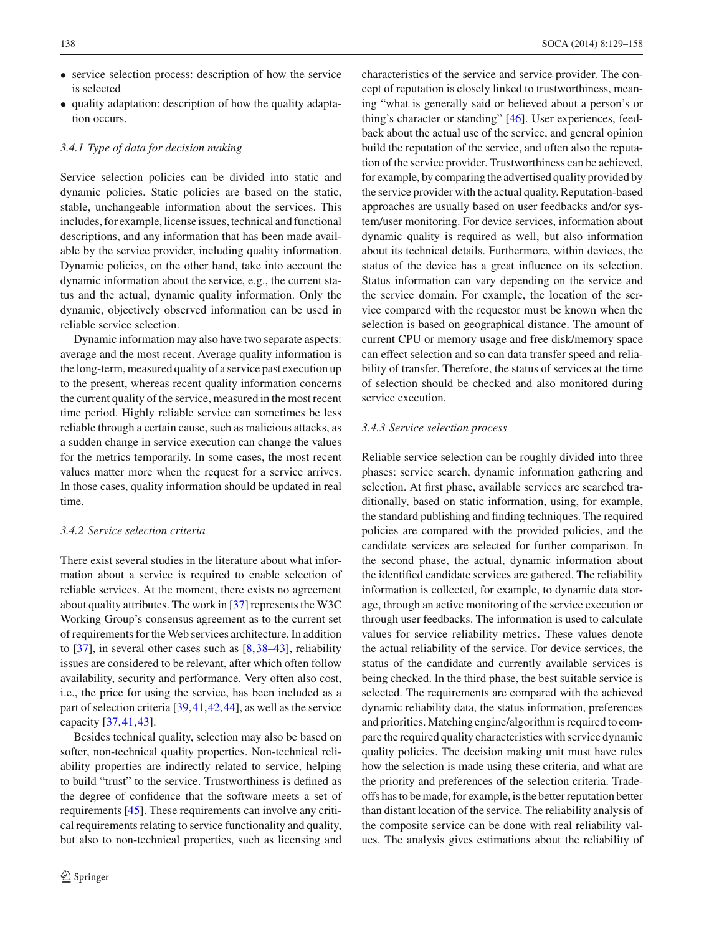- service selection process: description of how the service is selected
- quality adaptation: description of how the quality adaptation occurs.

# *3.4.1 Type of data for decision making*

Service selection policies can be divided into static and dynamic policies. Static policies are based on the static, stable, unchangeable information about the services. This includes, for example, license issues, technical and functional descriptions, and any information that has been made available by the service provider, including quality information. Dynamic policies, on the other hand, take into account the dynamic information about the service, e.g., the current status and the actual, dynamic quality information. Only the dynamic, objectively observed information can be used in reliable service selection.

Dynamic information may also have two separate aspects: average and the most recent. Average quality information is the long-term, measured quality of a service past execution up to the present, whereas recent quality information concerns the current quality of the service, measured in the most recent time period. Highly reliable service can sometimes be less reliable through a certain cause, such as malicious attacks, as a sudden change in service execution can change the values for the metrics temporarily. In some cases, the most recent values matter more when the request for a service arrives. In those cases, quality information should be updated in real time.

# *3.4.2 Service selection criteria*

There exist several studies in the literature about what information about a service is required to enable selection of reliable services. At the moment, there exists no agreement about quality attributes. The work in [\[37](#page-27-30)] represents the W3C Working Group's consensus agreement as to the current set of requirements for the Web services architecture. In addition to [\[37](#page-27-30)], in several other cases such as [\[8](#page-27-31),[38](#page-27-32)[–43\]](#page-28-0), reliability issues are considered to be relevant, after which often follow availability, security and performance. Very often also cost, i.e., the price for using the service, has been included as a part of selection criteria [\[39,](#page-27-33)[41](#page-28-1)[,42](#page-28-2)[,44](#page-28-3)], as well as the service capacity [\[37](#page-27-30)[,41](#page-28-1),[43](#page-28-0)].

Besides technical quality, selection may also be based on softer, non-technical quality properties. Non-technical reliability properties are indirectly related to service, helping to build "trust" to the service. Trustworthiness is defined as the degree of confidence that the software meets a set of requirements [\[45](#page-28-4)]. These requirements can involve any critical requirements relating to service functionality and quality, but also to non-technical properties, such as licensing and characteristics of the service and service provider. The concept of reputation is closely linked to trustworthiness, meaning "what is generally said or believed about a person's or thing's character or standing" [\[46](#page-28-5)]. User experiences, feedback about the actual use of the service, and general opinion build the reputation of the service, and often also the reputation of the service provider. Trustworthiness can be achieved, for example, by comparing the advertised quality provided by the service provider with the actual quality. Reputation-based approaches are usually based on user feedbacks and/or system/user monitoring. For device services, information about dynamic quality is required as well, but also information about its technical details. Furthermore, within devices, the status of the device has a great influence on its selection. Status information can vary depending on the service and the service domain. For example, the location of the service compared with the requestor must be known when the selection is based on geographical distance. The amount of current CPU or memory usage and free disk/memory space can effect selection and so can data transfer speed and reliability of transfer. Therefore, the status of services at the time of selection should be checked and also monitored during service execution.

#### *3.4.3 Service selection process*

Reliable service selection can be roughly divided into three phases: service search, dynamic information gathering and selection. At first phase, available services are searched traditionally, based on static information, using, for example, the standard publishing and finding techniques. The required policies are compared with the provided policies, and the candidate services are selected for further comparison. In the second phase, the actual, dynamic information about the identified candidate services are gathered. The reliability information is collected, for example, to dynamic data storage, through an active monitoring of the service execution or through user feedbacks. The information is used to calculate values for service reliability metrics. These values denote the actual reliability of the service. For device services, the status of the candidate and currently available services is being checked. In the third phase, the best suitable service is selected. The requirements are compared with the achieved dynamic reliability data, the status information, preferences and priorities. Matching engine/algorithm is required to compare the required quality characteristics with service dynamic quality policies. The decision making unit must have rules how the selection is made using these criteria, and what are the priority and preferences of the selection criteria. Tradeoffs has to be made, for example, is the better reputation better than distant location of the service. The reliability analysis of the composite service can be done with real reliability values. The analysis gives estimations about the reliability of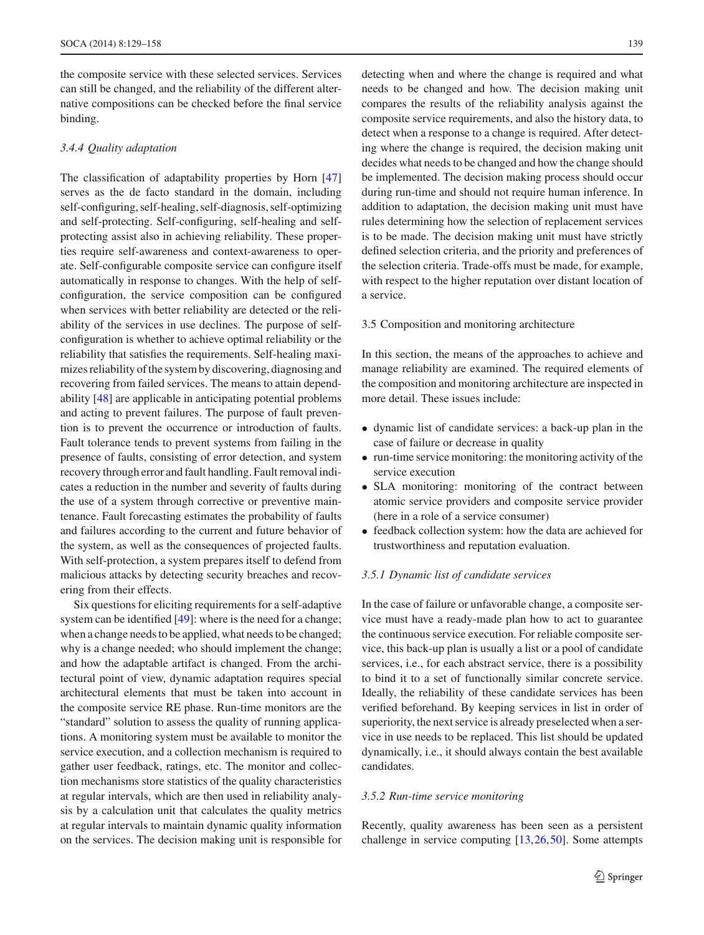the composite service with these selected services. Services can still be changed, and the reliability of the different alternative compositions can be checked before the final service binding.

### *3.4.4 Quality adaptation*

The classification of adaptability properties by Horn [\[47\]](#page-28-6) serves as the de facto standard in the domain, including self-configuring, self-healing, self-diagnosis, self-optimizing and self-protecting. Self-configuring, self-healing and selfprotecting assist also in achieving reliability. These properties require self-awareness and context-awareness to operate. Self-configurable composite service can configure itself automatically in response to changes. With the help of selfconfiguration, the service composition can be configured when services with better reliability are detected or the reliability of the services in use declines. The purpose of selfconfiguration is whether to achieve optimal reliability or the reliability that satisfies the requirements. Self-healing maximizes reliability of the system by discovering, diagnosing and recovering from failed services. The means to attain dependability [\[48](#page-28-7)] are applicable in anticipating potential problems and acting to prevent failures. The purpose of fault prevention is to prevent the occurrence or introduction of faults. Fault tolerance tends to prevent systems from failing in the presence of faults, consisting of error detection, and system recovery through error and fault handling. Fault removal indicates a reduction in the number and severity of faults during the use of a system through corrective or preventive maintenance. Fault forecasting estimates the probability of faults and failures according to the current and future behavior of the system, as well as the consequences of projected faults. With self-protection, a system prepares itself to defend from malicious attacks by detecting security breaches and recovering from their effects.

Six questions for eliciting requirements for a self-adaptive system can be identified [\[49\]](#page-28-8): where is the need for a change; when a change needs to be applied, what needs to be changed; why is a change needed; who should implement the change; and how the adaptable artifact is changed. From the architectural point of view, dynamic adaptation requires special architectural elements that must be taken into account in the composite service RE phase. Run-time monitors are the "standard" solution to assess the quality of running applications. A monitoring system must be available to monitor the service execution, and a collection mechanism is required to gather user feedback, ratings, etc. The monitor and collection mechanisms store statistics of the quality characteristics at regular intervals, which are then used in reliability analysis by a calculation unit that calculates the quality metrics at regular intervals to maintain dynamic quality information on the services. The decision making unit is responsible for detecting when and where the change is required and what needs to be changed and how. The decision making unit compares the results of the reliability analysis against the composite service requirements, and also the history data, to detect when a response to a change is required. After detecting where the change is required, the decision making unit decides what needs to be changed and how the change should be implemented. The decision making process should occur during run-time and should not require human inference. In addition to adaptation, the decision making unit must have rules determining how the selection of replacement services is to be made. The decision making unit must have strictly defined selection criteria, and the priority and preferences of the selection criteria. Trade-offs must be made, for example, with respect to the higher reputation over distant location of a service.

#### 3.5 Composition and monitoring architecture

In this section, the means of the approaches to achieve and manage reliability are examined. The required elements of the composition and monitoring architecture are inspected in more detail. These issues include:

- dynamic list of candidate services: a back-up plan in the case of failure or decrease in quality
- run-time service monitoring: the monitoring activity of the service execution
- SLA monitoring: monitoring of the contract between atomic service providers and composite service provider (here in a role of a service consumer)
- feedback collection system: how the data are achieved for trustworthiness and reputation evaluation.

#### *3.5.1 Dynamic list of candidate services*

In the case of failure or unfavorable change, a composite service must have a ready-made plan how to act to guarantee the continuous service execution. For reliable composite service, this back-up plan is usually a list or a pool of candidate services, i.e., for each abstract service, there is a possibility to bind it to a set of functionally similar concrete service. Ideally, the reliability of these candidate services has been verified beforehand. By keeping services in list in order of superiority, the next service is already preselected when a service in use needs to be replaced. This list should be updated dynamically, i.e., it should always contain the best available candidates.

# *3.5.2 Run-time service monitoring*

Recently, quality awareness has been seen as a persistent challenge in service computing [\[13](#page-27-9)[,26](#page-27-20),[50\]](#page-28-9). Some attempts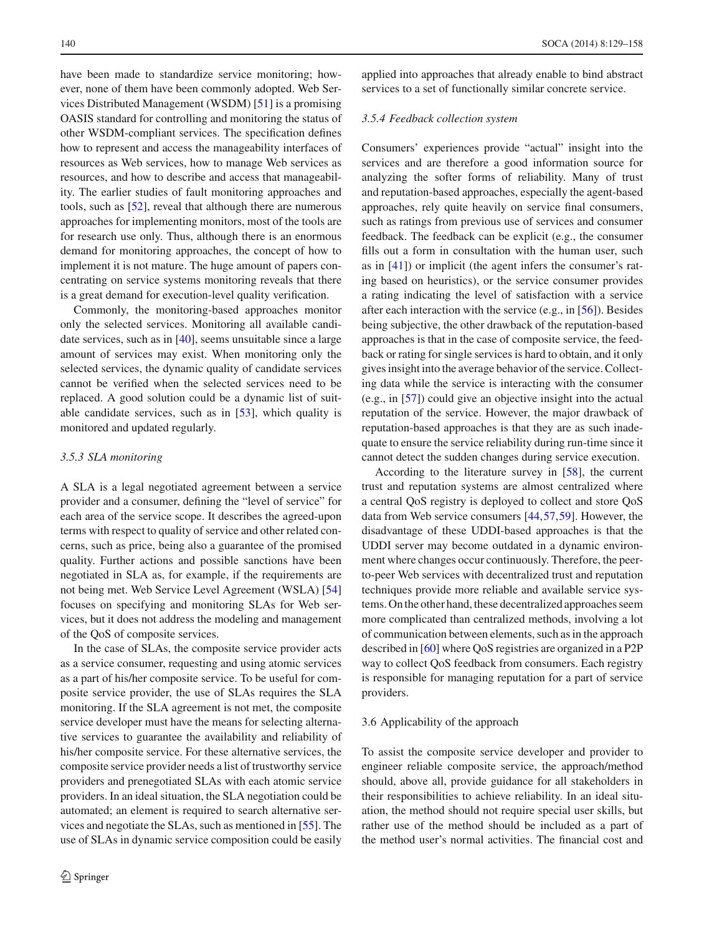have been made to standardize service monitoring; however, none of them have been commonly adopted. Web Services Distributed Management (WSDM) [\[51\]](#page-28-10) is a promising OASIS standard for controlling and monitoring the status of other WSDM-compliant services. The specification defines how to represent and access the manageability interfaces of resources as Web services, how to manage Web services as resources, and how to describe and access that manageability. The earlier studies of fault monitoring approaches and tools, such as [\[52](#page-28-11)], reveal that although there are numerous approaches for implementing monitors, most of the tools are for research use only. Thus, although there is an enormous demand for monitoring approaches, the concept of how to implement it is not mature. The huge amount of papers concentrating on service systems monitoring reveals that there is a great demand for execution-level quality verification.

Commonly, the monitoring-based approaches monitor only the selected services. Monitoring all available candidate services, such as in [\[40\]](#page-28-12), seems unsuitable since a large amount of services may exist. When monitoring only the selected services, the dynamic quality of candidate services cannot be verified when the selected services need to be replaced. A good solution could be a dynamic list of suitable candidate services, such as in [\[53](#page-28-13)], which quality is monitored and updated regularly.

#### *3.5.3 SLA monitoring*

A SLA is a legal negotiated agreement between a service provider and a consumer, defining the "level of service" for each area of the service scope. It describes the agreed-upon terms with respect to quality of service and other related concerns, such as price, being also a guarantee of the promised quality. Further actions and possible sanctions have been negotiated in SLA as, for example, if the requirements are not being met. Web Service Level Agreement (WSLA) [\[54\]](#page-28-14) focuses on specifying and monitoring SLAs for Web services, but it does not address the modeling and management of the QoS of composite services.

In the case of SLAs, the composite service provider acts as a service consumer, requesting and using atomic services as a part of his/her composite service. To be useful for composite service provider, the use of SLAs requires the SLA monitoring. If the SLA agreement is not met, the composite service developer must have the means for selecting alternative services to guarantee the availability and reliability of his/her composite service. For these alternative services, the composite service provider needs a list of trustworthy service providers and prenegotiated SLAs with each atomic service providers. In an ideal situation, the SLA negotiation could be automated; an element is required to search alternative services and negotiate the SLAs, such as mentioned in [\[55\]](#page-28-15). The use of SLAs in dynamic service composition could be easily applied into approaches that already enable to bind abstract services to a set of functionally similar concrete service.

#### *3.5.4 Feedback collection system*

Consumers' experiences provide "actual" insight into the services and are therefore a good information source for analyzing the softer forms of reliability. Many of trust and reputation-based approaches, especially the agent-based approaches, rely quite heavily on service final consumers, such as ratings from previous use of services and consumer feedback. The feedback can be explicit (e.g., the consumer fills out a form in consultation with the human user, such as in [\[41\]](#page-28-1)) or implicit (the agent infers the consumer's rating based on heuristics), or the service consumer provides a rating indicating the level of satisfaction with a service after each interaction with the service (e.g., in [\[56\]](#page-28-16)). Besides being subjective, the other drawback of the reputation-based approaches is that in the case of composite service, the feedback or rating for single services is hard to obtain, and it only gives insight into the average behavior of the service. Collecting data while the service is interacting with the consumer (e.g., in [\[57\]](#page-28-17)) could give an objective insight into the actual reputation of the service. However, the major drawback of reputation-based approaches is that they are as such inadequate to ensure the service reliability during run-time since it cannot detect the sudden changes during service execution.

According to the literature survey in [\[58](#page-28-18)], the current trust and reputation systems are almost centralized where a central QoS registry is deployed to collect and store QoS data from Web service consumers [\[44](#page-28-3)[,57](#page-28-17)[,59](#page-28-19)]. However, the disadvantage of these UDDI-based approaches is that the UDDI server may become outdated in a dynamic environment where changes occur continuously. Therefore, the peerto-peer Web services with decentralized trust and reputation techniques provide more reliable and available service systems. On the other hand, these decentralized approaches seem more complicated than centralized methods, involving a lot of communication between elements, such as in the approach described in [\[60\]](#page-28-20) where QoS registries are organized in a P2P way to collect QoS feedback from consumers. Each registry is responsible for managing reputation for a part of service providers.

#### 3.6 Applicability of the approach

To assist the composite service developer and provider to engineer reliable composite service, the approach/method should, above all, provide guidance for all stakeholders in their responsibilities to achieve reliability. In an ideal situation, the method should not require special user skills, but rather use of the method should be included as a part of the method user's normal activities. The financial cost and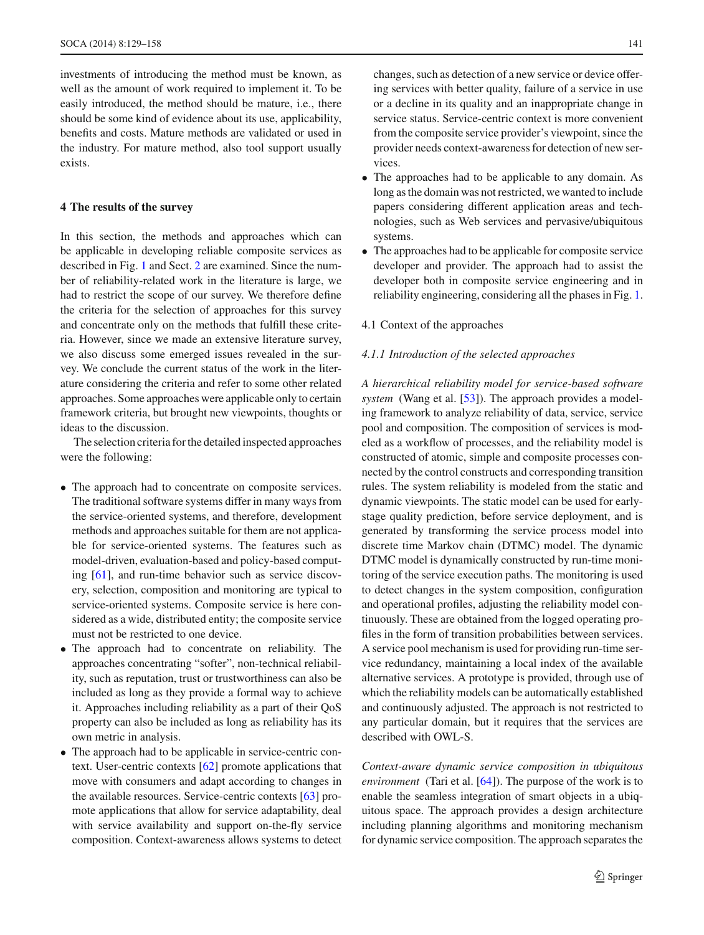investments of introducing the method must be known, as well as the amount of work required to implement it. To be easily introduced, the method should be mature, i.e., there should be some kind of evidence about its use, applicability, benefits and costs. Mature methods are validated or used in the industry. For mature method, also tool support usually exists.

#### <span id="page-12-0"></span>**4 The results of the survey**

In this section, the methods and approaches which can be applicable in developing reliable composite services as described in Fig. [1](#page-2-0) and Sect. [2](#page-1-0) are examined. Since the number of reliability-related work in the literature is large, we had to restrict the scope of our survey. We therefore define the criteria for the selection of approaches for this survey and concentrate only on the methods that fulfill these criteria. However, since we made an extensive literature survey, we also discuss some emerged issues revealed in the survey. We conclude the current status of the work in the literature considering the criteria and refer to some other related approaches. Some approaches were applicable only to certain framework criteria, but brought new viewpoints, thoughts or ideas to the discussion.

The selection criteria for the detailed inspected approaches were the following:

- The approach had to concentrate on composite services. The traditional software systems differ in many ways from the service-oriented systems, and therefore, development methods and approaches suitable for them are not applicable for service-oriented systems. The features such as model-driven, evaluation-based and policy-based computing [\[61\]](#page-28-21), and run-time behavior such as service discovery, selection, composition and monitoring are typical to service-oriented systems. Composite service is here considered as a wide, distributed entity; the composite service must not be restricted to one device.
- The approach had to concentrate on reliability. The approaches concentrating "softer", non-technical reliability, such as reputation, trust or trustworthiness can also be included as long as they provide a formal way to achieve it. Approaches including reliability as a part of their QoS property can also be included as long as reliability has its own metric in analysis.
- The approach had to be applicable in service-centric context. User-centric contexts [\[62\]](#page-28-22) promote applications that move with consumers and adapt according to changes in the available resources. Service-centric contexts [\[63\]](#page-28-23) promote applications that allow for service adaptability, deal with service availability and support on-the-fly service composition. Context-awareness allows systems to detect

changes, such as detection of a new service or device offering services with better quality, failure of a service in use or a decline in its quality and an inappropriate change in service status. Service-centric context is more convenient from the composite service provider's viewpoint, since the provider needs context-awareness for detection of new services.

- The approaches had to be applicable to any domain. As long as the domain was not restricted, we wanted to include papers considering different application areas and technologies, such as Web services and pervasive/ubiquitous systems.
- The approaches had to be applicable for composite service developer and provider. The approach had to assist the developer both in composite service engineering and in reliability engineering, considering all the phases in Fig. [1.](#page-2-0)

#### 4.1 Context of the approaches

#### *4.1.1 Introduction of the selected approaches*

*A hierarchical reliability model for service-based software system* (Wang et al. [\[53](#page-28-13)]). The approach provides a modeling framework to analyze reliability of data, service, service pool and composition. The composition of services is modeled as a workflow of processes, and the reliability model is constructed of atomic, simple and composite processes connected by the control constructs and corresponding transition rules. The system reliability is modeled from the static and dynamic viewpoints. The static model can be used for earlystage quality prediction, before service deployment, and is generated by transforming the service process model into discrete time Markov chain (DTMC) model. The dynamic DTMC model is dynamically constructed by run-time monitoring of the service execution paths. The monitoring is used to detect changes in the system composition, configuration and operational profiles, adjusting the reliability model continuously. These are obtained from the logged operating profiles in the form of transition probabilities between services. A service pool mechanism is used for providing run-time service redundancy, maintaining a local index of the available alternative services. A prototype is provided, through use of which the reliability models can be automatically established and continuously adjusted. The approach is not restricted to any particular domain, but it requires that the services are described with OWL-S.

*Context-aware dynamic service composition in ubiquitous environment* (Tari et al. [\[64](#page-28-24)]). The purpose of the work is to enable the seamless integration of smart objects in a ubiquitous space. The approach provides a design architecture including planning algorithms and monitoring mechanism for dynamic service composition. The approach separates the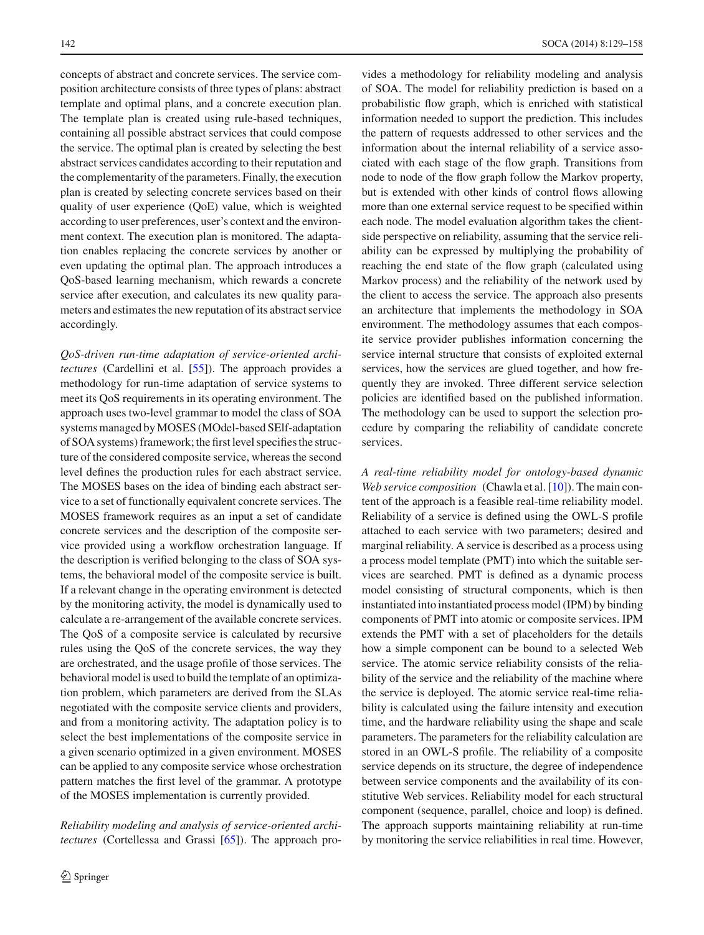concepts of abstract and concrete services. The service composition architecture consists of three types of plans: abstract template and optimal plans, and a concrete execution plan. The template plan is created using rule-based techniques, containing all possible abstract services that could compose the service. The optimal plan is created by selecting the best abstract services candidates according to their reputation and the complementarity of the parameters. Finally, the execution plan is created by selecting concrete services based on their quality of user experience (QoE) value, which is weighted according to user preferences, user's context and the environment context. The execution plan is monitored. The adaptation enables replacing the concrete services by another or even updating the optimal plan. The approach introduces a QoS-based learning mechanism, which rewards a concrete service after execution, and calculates its new quality parameters and estimates the new reputation of its abstract service accordingly.

*QoS-driven run-time adaptation of service-oriented architectures* (Cardellini et al. [\[55\]](#page-28-15)). The approach provides a methodology for run-time adaptation of service systems to meet its QoS requirements in its operating environment. The approach uses two-level grammar to model the class of SOA systems managed byMOSES (MOdel-based SElf-adaptation of SOA systems) framework; the first level specifies the structure of the considered composite service, whereas the second level defines the production rules for each abstract service. The MOSES bases on the idea of binding each abstract service to a set of functionally equivalent concrete services. The MOSES framework requires as an input a set of candidate concrete services and the description of the composite service provided using a workflow orchestration language. If the description is verified belonging to the class of SOA systems, the behavioral model of the composite service is built. If a relevant change in the operating environment is detected by the monitoring activity, the model is dynamically used to calculate a re-arrangement of the available concrete services. The QoS of a composite service is calculated by recursive rules using the QoS of the concrete services, the way they are orchestrated, and the usage profile of those services. The behavioral model is used to build the template of an optimization problem, which parameters are derived from the SLAs negotiated with the composite service clients and providers, and from a monitoring activity. The adaptation policy is to select the best implementations of the composite service in a given scenario optimized in a given environment. MOSES can be applied to any composite service whose orchestration pattern matches the first level of the grammar. A prototype of the MOSES implementation is currently provided.

*Reliability modeling and analysis of service-oriented architectures* (Cortellessa and Grassi [\[65\]](#page-28-25)). The approach provides a methodology for reliability modeling and analysis of SOA. The model for reliability prediction is based on a probabilistic flow graph, which is enriched with statistical information needed to support the prediction. This includes the pattern of requests addressed to other services and the information about the internal reliability of a service associated with each stage of the flow graph. Transitions from node to node of the flow graph follow the Markov property, but is extended with other kinds of control flows allowing more than one external service request to be specified within each node. The model evaluation algorithm takes the clientside perspective on reliability, assuming that the service reliability can be expressed by multiplying the probability of reaching the end state of the flow graph (calculated using Markov process) and the reliability of the network used by the client to access the service. The approach also presents an architecture that implements the methodology in SOA environment. The methodology assumes that each composite service provider publishes information concerning the service internal structure that consists of exploited external services, how the services are glued together, and how frequently they are invoked. Three different service selection policies are identified based on the published information. The methodology can be used to support the selection procedure by comparing the reliability of candidate concrete services.

*A real-time reliability model for ontology-based dynamic Web service composition* (Chawla et al. [\[10\]](#page-27-7)). The main content of the approach is a feasible real-time reliability model. Reliability of a service is defined using the OWL-S profile attached to each service with two parameters; desired and marginal reliability. A service is described as a process using a process model template (PMT) into which the suitable services are searched. PMT is defined as a dynamic process model consisting of structural components, which is then instantiated into instantiated process model (IPM) by binding components of PMT into atomic or composite services. IPM extends the PMT with a set of placeholders for the details how a simple component can be bound to a selected Web service. The atomic service reliability consists of the reliability of the service and the reliability of the machine where the service is deployed. The atomic service real-time reliability is calculated using the failure intensity and execution time, and the hardware reliability using the shape and scale parameters. The parameters for the reliability calculation are stored in an OWL-S profile. The reliability of a composite service depends on its structure, the degree of independence between service components and the availability of its constitutive Web services. Reliability model for each structural component (sequence, parallel, choice and loop) is defined. The approach supports maintaining reliability at run-time by monitoring the service reliabilities in real time. However,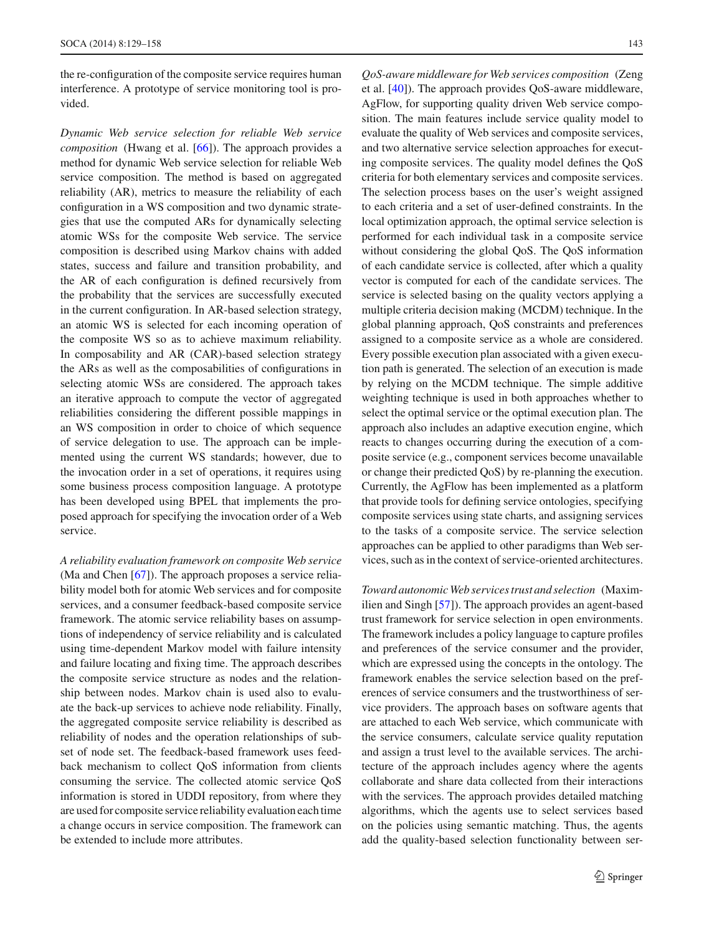the re-configuration of the composite service requires human interference. A prototype of service monitoring tool is provided.

*Dynamic Web service selection for reliable Web service composition* (Hwang et al. [\[66\]](#page-28-26)). The approach provides a method for dynamic Web service selection for reliable Web service composition. The method is based on aggregated reliability (AR), metrics to measure the reliability of each configuration in a WS composition and two dynamic strategies that use the computed ARs for dynamically selecting atomic WSs for the composite Web service. The service composition is described using Markov chains with added states, success and failure and transition probability, and the AR of each configuration is defined recursively from the probability that the services are successfully executed in the current configuration. In AR-based selection strategy, an atomic WS is selected for each incoming operation of the composite WS so as to achieve maximum reliability. In composability and AR (CAR)-based selection strategy the ARs as well as the composabilities of configurations in selecting atomic WSs are considered. The approach takes an iterative approach to compute the vector of aggregated reliabilities considering the different possible mappings in an WS composition in order to choice of which sequence of service delegation to use. The approach can be implemented using the current WS standards; however, due to the invocation order in a set of operations, it requires using some business process composition language. A prototype has been developed using BPEL that implements the proposed approach for specifying the invocation order of a Web service.

*A reliability evaluation framework on composite Web service* (Ma and Chen [\[67\]](#page-28-27)). The approach proposes a service reliability model both for atomic Web services and for composite services, and a consumer feedback-based composite service framework. The atomic service reliability bases on assumptions of independency of service reliability and is calculated using time-dependent Markov model with failure intensity and failure locating and fixing time. The approach describes the composite service structure as nodes and the relationship between nodes. Markov chain is used also to evaluate the back-up services to achieve node reliability. Finally, the aggregated composite service reliability is described as reliability of nodes and the operation relationships of subset of node set. The feedback-based framework uses feedback mechanism to collect QoS information from clients consuming the service. The collected atomic service QoS information is stored in UDDI repository, from where they are used for composite service reliability evaluation each time a change occurs in service composition. The framework can be extended to include more attributes.

*QoS-aware middleware for Web services composition* (Zeng et al. [\[40\]](#page-28-12)). The approach provides QoS-aware middleware, AgFlow, for supporting quality driven Web service composition. The main features include service quality model to evaluate the quality of Web services and composite services, and two alternative service selection approaches for executing composite services. The quality model defines the QoS criteria for both elementary services and composite services. The selection process bases on the user's weight assigned to each criteria and a set of user-defined constraints. In the local optimization approach, the optimal service selection is performed for each individual task in a composite service without considering the global QoS. The QoS information of each candidate service is collected, after which a quality vector is computed for each of the candidate services. The service is selected basing on the quality vectors applying a multiple criteria decision making (MCDM) technique. In the global planning approach, QoS constraints and preferences assigned to a composite service as a whole are considered. Every possible execution plan associated with a given execution path is generated. The selection of an execution is made by relying on the MCDM technique. The simple additive weighting technique is used in both approaches whether to select the optimal service or the optimal execution plan. The approach also includes an adaptive execution engine, which reacts to changes occurring during the execution of a composite service (e.g., component services become unavailable or change their predicted QoS) by re-planning the execution. Currently, the AgFlow has been implemented as a platform that provide tools for defining service ontologies, specifying composite services using state charts, and assigning services to the tasks of a composite service. The service selection approaches can be applied to other paradigms than Web services, such as in the context of service-oriented architectures.

*Toward autonomic Web services trust and selection* (Maximilien and Singh [\[57](#page-28-17)]). The approach provides an agent-based trust framework for service selection in open environments. The framework includes a policy language to capture profiles and preferences of the service consumer and the provider, which are expressed using the concepts in the ontology. The framework enables the service selection based on the preferences of service consumers and the trustworthiness of service providers. The approach bases on software agents that are attached to each Web service, which communicate with the service consumers, calculate service quality reputation and assign a trust level to the available services. The architecture of the approach includes agency where the agents collaborate and share data collected from their interactions with the services. The approach provides detailed matching algorithms, which the agents use to select services based on the policies using semantic matching. Thus, the agents add the quality-based selection functionality between ser-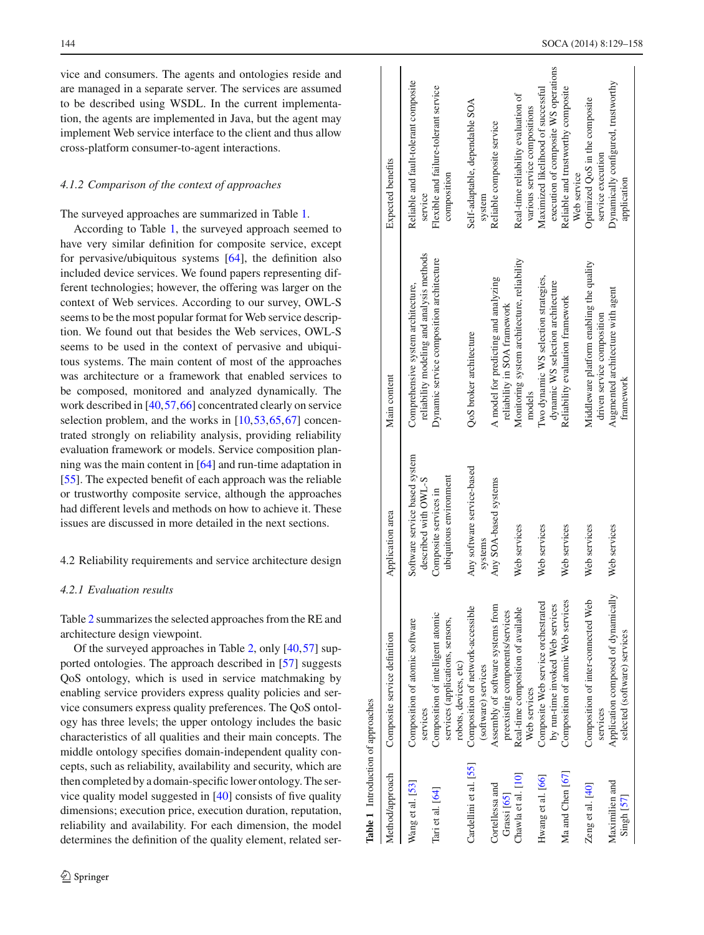vice and consumers. The agents and ontologies reside and are managed in a separate server. The services are assumed to be described using WSDL. In the current implementation, the agents are implemented in Java, but the agent may implement Web service interface to the client and thus allow cross-platform consumer-to-agent interactions.

## *4.1.2 Comparison of the context of approaches*

The surveyed approaches are summarized in Table [1.](#page-15-0)

According to Table [1,](#page-15-0) the surveyed approach seemed to have very similar definition for composite service, except for pervasive/ubiquitous systems [\[64](#page-28-24)], the definition also included device services. We found papers representing different technologies; however, the offering was larger on the context of Web services. According to our survey, OWL-S seems to be the most popular format for Web service description. We found out that besides the Web services, OWL-S seems to be used in the context of pervasive and ubiquitous systems. The main content of most of the approaches was architecture or a framework that enabled services to be composed, monitored and analyzed dynamically. The work described in [\[40](#page-28-12)[,57](#page-28-17),[66](#page-28-26)] concentrated clearly on service selection problem, and the works in [\[10,](#page-27-7)[53](#page-28-13)[,65](#page-28-25)[,67](#page-28-27)] concentrated strongly on reliability analysis, providing reliability evaluation framework or models. Service composition planning was the main content in [\[64](#page-28-24)] and run-time adaptation in [\[55](#page-28-15)]. The expected benefit of each approach was the reliable or trustworthy composite service, although the approaches had different levels and methods on how to achieve it. These issues are discussed in more detailed in the next sections.

## 4.2 Reliability requirements and service architecture design

## *4.2.1 Evaluation results*

Table [2](#page-16-0) summarizes the selected approaches from the RE and architecture design viewpoint.

<span id="page-15-0"></span>Of the surveyed approaches in Table [2,](#page-16-0) only [\[40](#page-28-12)[,57](#page-28-17)] supported ontologies. The approach described in [\[57](#page-28-17)] suggests QoS ontology, which is used in service matchmaking by enabling service providers express quality policies and service consumers express quality preferences. The QoS ontology has three levels; the upper ontology includes the basic characteristics of all qualities and their main concepts. The middle ontology specifies domain-independent quality concepts, such as reliability, availability and security, which are then completed by a domain-specific lower ontology. The service quality model suggested in [\[40](#page-28-12)] consists of five quality dimensions; execution price, execution duration, reputation, reliability and availability. For each dimension, the model determines the definition of the quality element, related ser-

| Table 1 Introduction of approaches |                                                                                                |                                                       |                                                                                 |                                                                            |
|------------------------------------|------------------------------------------------------------------------------------------------|-------------------------------------------------------|---------------------------------------------------------------------------------|----------------------------------------------------------------------------|
| Method/approach                    | Composite service definition                                                                   | Application area                                      | Main content                                                                    | Expected benefits                                                          |
| Wang et al. [53]                   | Composition of atomic software<br>services                                                     | Software service based system<br>described with OWL-S | reliability modeling and analysis methods<br>Comprehensive system architecture, | Reliable and fault-tolerant composite<br>service                           |
| Tari et al. [64]                   | Composition of intelligent atomic<br>services (applications, sensors,<br>robots, devices, etc) | ubiquitous environment<br>Composite services in       | Dynamic service composition architecture                                        | Flexible and failure-tolerant service<br>composition                       |
| Cardellini et al. [55]             | Composition of network-accessible<br>(software) services                                       | Any software service-based<br>systems                 | QoS broker architecture                                                         | Self-adaptable, dependable SOA<br>system                                   |
| Cortellessa and<br>Grassi [65]     | Assembly of software systems from<br>preexisting components/services                           | Any SOA-based systems                                 | A model for predicting and analyzing<br>reliability in SOA framework            | Reliable composite service                                                 |
| Chawla et al. [10]                 | Real-time composition of available<br>Web services                                             | Web services                                          | Monitoring system architecture, reliability<br>models                           | Real-time reliability evaluation of<br>various service compositions        |
| Hwang et al. [66]                  | Composite Web service orchestrated<br>by run-time invoked Web services                         | Web services                                          | Two dynamic WS selection strategies,<br>dynamic WS selection architecture       | execution of composite WS operations<br>Maximized likelihood of successful |
| Ma and Chen [67]                   | Composition of atomic Web services                                                             | Web services                                          | Reliability evaluation framework                                                | Reliable and trustworthy composite<br>Web service                          |
| Zeng et al. [40]                   | Composition of inter-connected Web<br>services                                                 | Web services                                          | Middleware platform enabling the quality<br>driven service composition          | Optimized QoS in the composite<br>service execution                        |
| Maximilien and<br>Singh [57]       | Application composed of dynamically<br>selected (software) services                            | Web services                                          | Augmented architecture with agent<br>framework                                  | Dynamically configured, trustworthy<br>application                         |
|                                    |                                                                                                |                                                       |                                                                                 |                                                                            |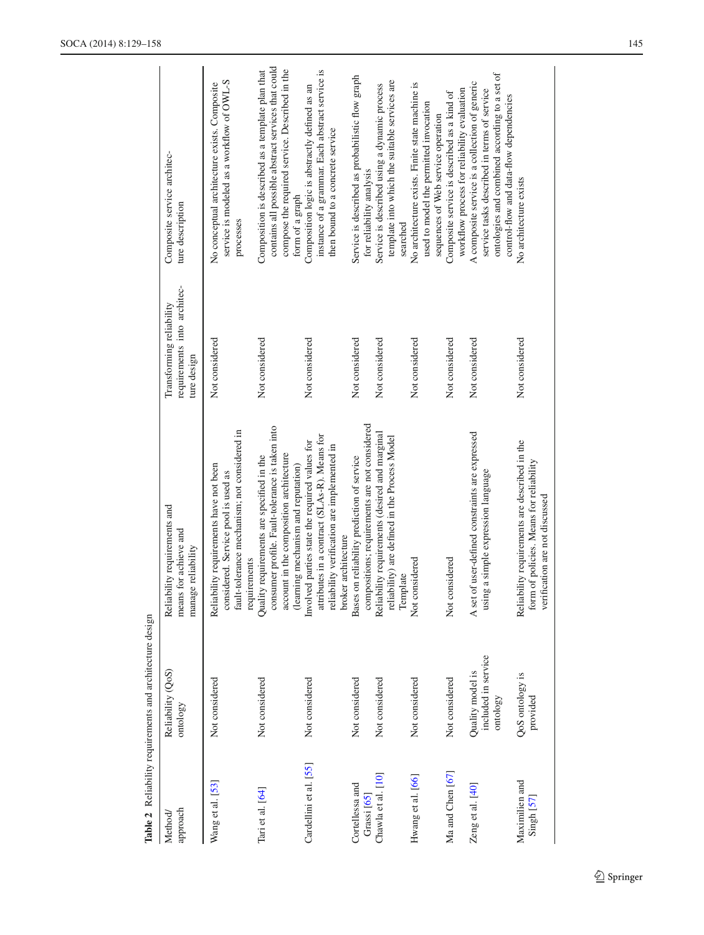|                                         | Table 2 Reliability requirements and architecture design |                                                                                                                                                                                |                                                                        |                                                                                                                                                                                           |
|-----------------------------------------|----------------------------------------------------------|--------------------------------------------------------------------------------------------------------------------------------------------------------------------------------|------------------------------------------------------------------------|-------------------------------------------------------------------------------------------------------------------------------------------------------------------------------------------|
| approach<br>Method/                     | Reliability (QoS)<br>ontology                            | Reliability requirements and<br>means for achieve and<br>manage reliability                                                                                                    | requirements into architec-<br>Transforming reliability<br>ture design | Composite service architec-<br>ture description                                                                                                                                           |
| Wang et al. [53]                        | Not considered                                           | fault-tolerance mechanism; not considered in<br>Reliability requirements have not been<br>considered. Service pool is used as<br>requirements                                  | Not considered                                                         | service is modeled as a workflow of OWL-S<br>No conceptual architecture exists. Composite<br>processes                                                                                    |
| $\text{Iari et al.}$ [64]               | Not considered                                           | consumer profile. Fault-tolerance is taken into<br>account in the composition architecture<br>Quality requirements are specified in the<br>(learning mechanism and reputation) | Not considered                                                         | contains all possible abstract services that could<br>compose the required service. Described in the<br>Composition is described as a template plan that<br>form of a graph               |
| Cardellini et al. [55]                  | Not considered                                           | attributes in a contract (SLAs-R). Means for<br>Involved parties state the required values for<br>reliability verification are implemented in<br>broker architecture           | Not considered                                                         | instance of a grammar. Each abstract service is<br>Composition logic is abstractly defined as an<br>then bound to a concrete service                                                      |
| Cortellessa and<br>Grassi [65]          | Not considered                                           | compositions; requirements are not considered<br>Bases on reliability prediction of service                                                                                    | Not considered                                                         | Service is described as probabilistic flow graph<br>for reliability analysis                                                                                                              |
| Chawla et al. [10]                      | Not considered                                           | Reliability requirements (desired and marginal<br>reliability) are defined in the Process Model<br>Template                                                                    | Not considered                                                         | template into which the suitable services are<br>Service is described using a dynamic process<br>searched                                                                                 |
| Hwang et al. [66]                       | Not considered                                           | Not considered                                                                                                                                                                 | Not considered                                                         | No architecture exists. Finite state machine is<br>used to model the permitted invocation<br>sequences of Web service operation                                                           |
| Ma and Chen [67]                        | Not considered                                           | Not considered                                                                                                                                                                 | Not considered                                                         | workflow process for reliability evaluation<br>Composite service is described as a kind of                                                                                                |
| Zeng et al. [40]                        | included in service<br>Quality model is<br>ontology      | A set of user-defined constraints are expressed<br>using a simple expression language                                                                                          | Not considered                                                         | ontologies and combined according to a set of<br>A composite service is a collection of generic<br>service tasks described in terms of service<br>control-flow and data-flow dependencies |
| Maximilien and<br>Singh <sub>[57]</sub> | QoS ontology is<br>provided                              | Reliability requirements are described in the<br>form of policies. Means for reliability<br>verification are not discussed                                                     | Not considered                                                         | No architecture exists                                                                                                                                                                    |

<span id="page-16-0"></span>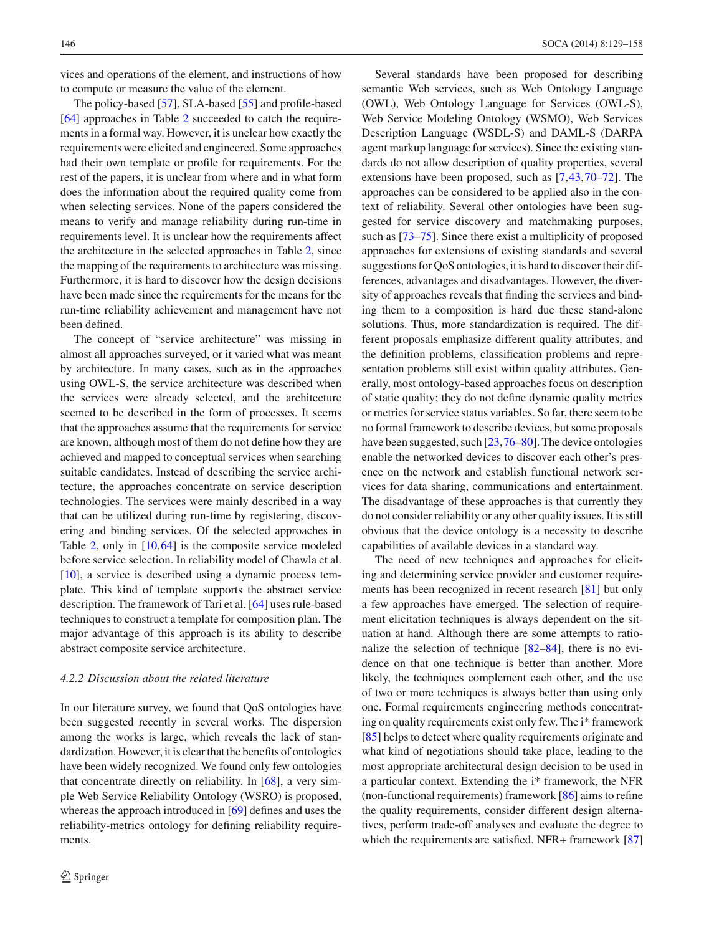vices and operations of the element, and instructions of how to compute or measure the value of the element.

The policy-based [\[57](#page-28-17)], SLA-based [\[55\]](#page-28-15) and profile-based [\[64](#page-28-24)] approaches in Table [2](#page-16-0) succeeded to catch the requirements in a formal way. However, it is unclear how exactly the requirements were elicited and engineered. Some approaches had their own template or profile for requirements. For the rest of the papers, it is unclear from where and in what form does the information about the required quality come from when selecting services. None of the papers considered the means to verify and manage reliability during run-time in requirements level. It is unclear how the requirements affect the architecture in the selected approaches in Table [2,](#page-16-0) since the mapping of the requirements to architecture was missing. Furthermore, it is hard to discover how the design decisions have been made since the requirements for the means for the run-time reliability achievement and management have not been defined.

The concept of "service architecture" was missing in almost all approaches surveyed, or it varied what was meant by architecture. In many cases, such as in the approaches using OWL-S, the service architecture was described when the services were already selected, and the architecture seemed to be described in the form of processes. It seems that the approaches assume that the requirements for service are known, although most of them do not define how they are achieved and mapped to conceptual services when searching suitable candidates. Instead of describing the service architecture, the approaches concentrate on service description technologies. The services were mainly described in a way that can be utilized during run-time by registering, discovering and binding services. Of the selected approaches in Table [2,](#page-16-0) only in  $[10, 64]$  $[10, 64]$  is the composite service modeled before service selection. In reliability model of Chawla et al. [\[10](#page-27-7)], a service is described using a dynamic process template. This kind of template supports the abstract service description. The framework of Tari et al. [\[64\]](#page-28-24) uses rule-based techniques to construct a template for composition plan. The major advantage of this approach is its ability to describe abstract composite service architecture.

## *4.2.2 Discussion about the related literature*

In our literature survey, we found that QoS ontologies have been suggested recently in several works. The dispersion among the works is large, which reveals the lack of standardization. However, it is clear that the benefits of ontologies have been widely recognized. We found only few ontologies that concentrate directly on reliability. In [\[68\]](#page-28-28), a very simple Web Service Reliability Ontology (WSRO) is proposed, whereas the approach introduced in [\[69\]](#page-28-29) defines and uses the reliability-metrics ontology for defining reliability requirements.

Several standards have been proposed for describing semantic Web services, such as Web Ontology Language (OWL), Web Ontology Language for Services (OWL-S), Web Service Modeling Ontology (WSMO), Web Services Description Language (WSDL-S) and DAML-S (DARPA agent markup language for services). Since the existing standards do not allow description of quality properties, several extensions have been proposed, such as [\[7](#page-27-6),[43,](#page-28-0)[70](#page-28-30)[–72\]](#page-28-31). The approaches can be considered to be applied also in the context of reliability. Several other ontologies have been suggested for service discovery and matchmaking purposes, such as [\[73](#page-28-32)[–75\]](#page-28-33). Since there exist a multiplicity of proposed approaches for extensions of existing standards and several suggestions for QoS ontologies, it is hard to discover their differences, advantages and disadvantages. However, the diversity of approaches reveals that finding the services and binding them to a composition is hard due these stand-alone solutions. Thus, more standardization is required. The different proposals emphasize different quality attributes, and the definition problems, classification problems and representation problems still exist within quality attributes. Generally, most ontology-based approaches focus on description of static quality; they do not define dynamic quality metrics or metrics for service status variables. So far, there seem to be no formal framework to describe devices, but some proposals have been suggested, such [\[23](#page-27-17)[,76](#page-28-34)[–80](#page-28-35)]. The device ontologies enable the networked devices to discover each other's presence on the network and establish functional network services for data sharing, communications and entertainment. The disadvantage of these approaches is that currently they do not consider reliability or any other quality issues. It is still obvious that the device ontology is a necessity to describe capabilities of available devices in a standard way.

The need of new techniques and approaches for eliciting and determining service provider and customer requirements has been recognized in recent research [\[81\]](#page-28-36) but only a few approaches have emerged. The selection of requirement elicitation techniques is always dependent on the situation at hand. Although there are some attempts to rationalize the selection of technique [\[82](#page-29-0)[–84\]](#page-29-1), there is no evidence on that one technique is better than another. More likely, the techniques complement each other, and the use of two or more techniques is always better than using only one. Formal requirements engineering methods concentrating on quality requirements exist only few. The i\* framework [\[85](#page-29-2)] helps to detect where quality requirements originate and what kind of negotiations should take place, leading to the most appropriate architectural design decision to be used in a particular context. Extending the i\* framework, the NFR (non-functional requirements) framework [\[86\]](#page-29-3) aims to refine the quality requirements, consider different design alternatives, perform trade-off analyses and evaluate the degree to which the requirements are satisfied. NFR+ framework [\[87\]](#page-29-4)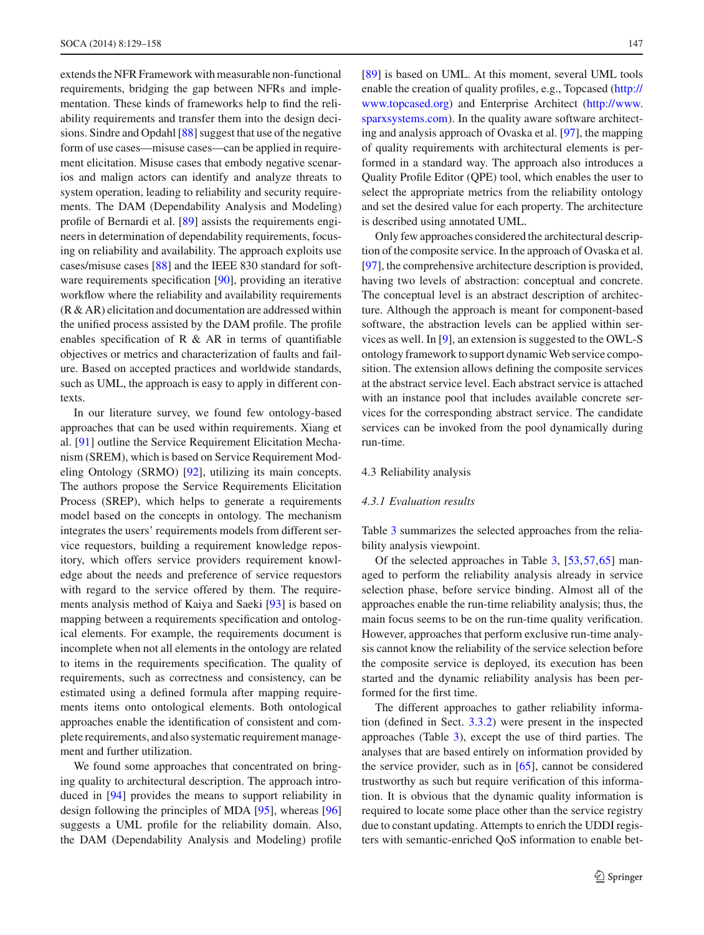extends the NFR Framework with measurable non-functional requirements, bridging the gap between NFRs and implementation. These kinds of frameworks help to find the reliability requirements and transfer them into the design decisions. Sindre and Opdahl [\[88\]](#page-29-5) suggest that use of the negative form of use cases—misuse cases—can be applied in requirement elicitation. Misuse cases that embody negative scenarios and malign actors can identify and analyze threats to system operation, leading to reliability and security requirements. The DAM (Dependability Analysis and Modeling) profile of Bernardi et al. [\[89](#page-29-6)] assists the requirements engineers in determination of dependability requirements, focusing on reliability and availability. The approach exploits use cases/misuse cases [\[88\]](#page-29-5) and the IEEE 830 standard for software requirements specification [\[90\]](#page-29-7), providing an iterative workflow where the reliability and availability requirements (R & AR) elicitation and documentation are addressed within the unified process assisted by the DAM profile. The profile enables specification of R  $\&$  AR in terms of quantifiable objectives or metrics and characterization of faults and failure. Based on accepted practices and worldwide standards, such as UML, the approach is easy to apply in different contexts.

In our literature survey, we found few ontology-based approaches that can be used within requirements. Xiang et al. [\[91\]](#page-29-8) outline the Service Requirement Elicitation Mechanism (SREM), which is based on Service Requirement Modeling Ontology (SRMO) [\[92](#page-29-9)], utilizing its main concepts. The authors propose the Service Requirements Elicitation Process (SREP), which helps to generate a requirements model based on the concepts in ontology. The mechanism integrates the users' requirements models from different service requestors, building a requirement knowledge repository, which offers service providers requirement knowledge about the needs and preference of service requestors with regard to the service offered by them. The requirements analysis method of Kaiya and Saeki [\[93](#page-29-10)] is based on mapping between a requirements specification and ontological elements. For example, the requirements document is incomplete when not all elements in the ontology are related to items in the requirements specification. The quality of requirements, such as correctness and consistency, can be estimated using a defined formula after mapping requirements items onto ontological elements. Both ontological approaches enable the identification of consistent and complete requirements, and also systematic requirement management and further utilization.

We found some approaches that concentrated on bringing quality to architectural description. The approach introduced in [\[94](#page-29-11)] provides the means to support reliability in design following the principles of MDA [\[95](#page-29-12)], whereas [\[96\]](#page-29-13) suggests a UML profile for the reliability domain. Also, the DAM (Dependability Analysis and Modeling) profile

[\[89](#page-29-6)] is based on UML. At this moment, several UML tools enable the creation of quality profiles, e.g., Topcased [\(http://](http://www.topcased.org) [www.topcased.org\)](http://www.topcased.org) and Enterprise Architect [\(http://www.](http://www.sparxsystems.com) [sparxsystems.com\)](http://www.sparxsystems.com). In the quality aware software architecting and analysis approach of Ovaska et al. [\[97](#page-29-14)], the mapping of quality requirements with architectural elements is performed in a standard way. The approach also introduces a Quality Profile Editor (QPE) tool, which enables the user to select the appropriate metrics from the reliability ontology and set the desired value for each property. The architecture is described using annotated UML.

Only few approaches considered the architectural description of the composite service. In the approach of Ovaska et al. [\[97](#page-29-14)], the comprehensive architecture description is provided, having two levels of abstraction: conceptual and concrete. The conceptual level is an abstract description of architecture. Although the approach is meant for component-based software, the abstraction levels can be applied within services as well. In [\[9](#page-27-34)], an extension is suggested to the OWL-S ontology framework to support dynamic Web service composition. The extension allows defining the composite services at the abstract service level. Each abstract service is attached with an instance pool that includes available concrete services for the corresponding abstract service. The candidate services can be invoked from the pool dynamically during run-time.

#### 4.3 Reliability analysis

## *4.3.1 Evaluation results*

Table [3](#page-19-0) summarizes the selected approaches from the reliability analysis viewpoint.

Of the selected approaches in Table [3,](#page-19-0) [\[53,](#page-28-13)[57](#page-28-17)[,65](#page-28-25)] managed to perform the reliability analysis already in service selection phase, before service binding. Almost all of the approaches enable the run-time reliability analysis; thus, the main focus seems to be on the run-time quality verification. However, approaches that perform exclusive run-time analysis cannot know the reliability of the service selection before the composite service is deployed, its execution has been started and the dynamic reliability analysis has been performed for the first time.

The different approaches to gather reliability information (defined in Sect. [3.3.2\)](#page-8-0) were present in the inspected approaches (Table [3\)](#page-19-0), except the use of third parties. The analyses that are based entirely on information provided by the service provider, such as in [\[65](#page-28-25)], cannot be considered trustworthy as such but require verification of this information. It is obvious that the dynamic quality information is required to locate some place other than the service registry due to constant updating. Attempts to enrich the UDDI registers with semantic-enriched QoS information to enable bet-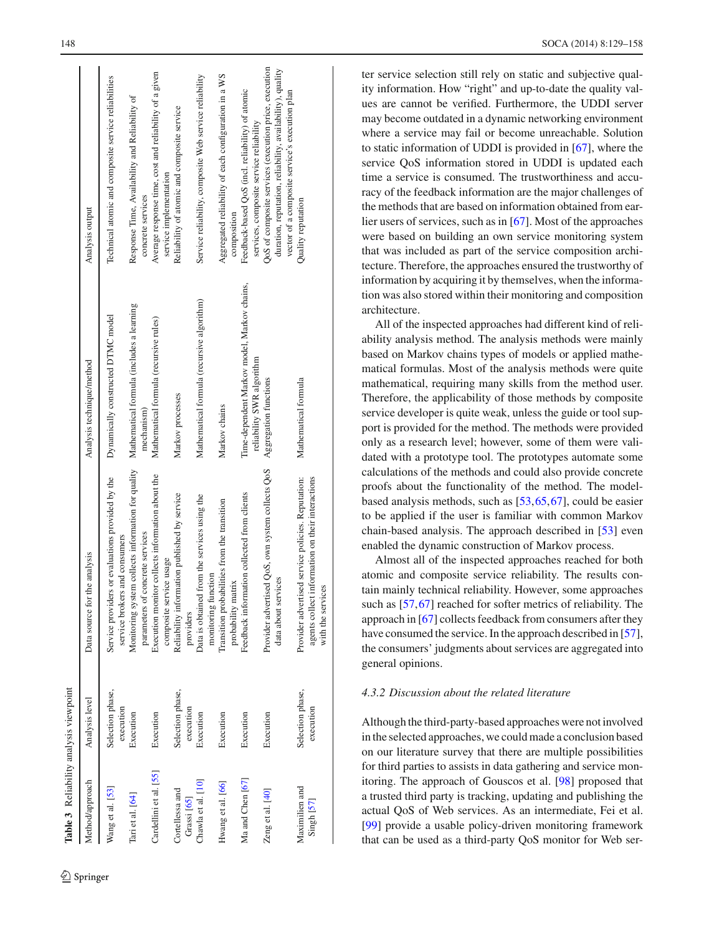| <b>Table 3</b> Reliability analysis viewpoint |                               |                                                                                                                            |                                                                          |                                                                                                                                                                      |
|-----------------------------------------------|-------------------------------|----------------------------------------------------------------------------------------------------------------------------|--------------------------------------------------------------------------|----------------------------------------------------------------------------------------------------------------------------------------------------------------------|
| Method/approach                               | Analysis level                | Data source for the analysis                                                                                               | Analysis technique/method                                                | Analysis output                                                                                                                                                      |
| Wang et al. [53]                              | Selection phase,<br>execution | Service providers or evaluations provided by the<br>service brokers and consumers                                          | Dynamically constructed DTMC model                                       | Technical atomic and composite service reliabilities                                                                                                                 |
| Tari et al. [64]                              | Execution                     | Monitoring system collects information for quality<br>parameters of concrete services                                      | Mathematical formula (includes a learning<br>mechanism)                  | Response Time, Availability and Reliability of<br>concrete services                                                                                                  |
| Cardellini et al. [55]                        | Execution                     | Execution monitor collects information about the<br>composite service usage                                                | Mathematical formula (recursive rules)                                   | Average response time, cost and reliability of a given<br>service implementation                                                                                     |
| Cortellessa and<br>Grassi [65]                | Selection phase,<br>execution | Reliability information published by service<br>providers                                                                  | Markov processes                                                         | Reliability of atomic and composite service                                                                                                                          |
| Chawla et al. [10]                            | Execution                     | I from the services using the<br>monitoring function<br>Data is obtained                                                   | Mathematical formula (recursive algorithm)                               | Service reliability, composite Web service reliability                                                                                                               |
| Hwang et al. [66]                             | Execution                     | Transition probabilities from the transition<br>atrix<br>probability m                                                     | Markov chains                                                            | Aggregated reliability of each configuration in a WS<br>composition                                                                                                  |
| Ma and Chen [67]                              | Execution                     | Feedback information collected from clients                                                                                | Time-dependent Markov model, Markov chains,<br>reliability SWR algorithm | Feedback-based QoS (incl. reliability) of atomic<br>services, composite service reliability                                                                          |
| Zeng et al. [40]                              | Execution                     | Provider advertised QoS, own system collects QoS<br>rvices<br>data about ser                                               | Aggregation functions                                                    | QoS of composite services (execution price, execution<br>duration, reputation, reliability, availability), quality<br>vector of a composite service's execution plan |
| Maximilien and<br>$Singth$ $[57]$             | Selection phase,<br>execution | agents collect information on their interactions<br>Provider advertised service policies. Reputation:<br>with the services | Mathematical formula                                                     | Quality reputation                                                                                                                                                   |

ter service selection still rely on static and subjective quality information. How "right" and up-to-date the quality values are cannot be verified. Furthermore, the UDDI server may become outdated in a dynamic networking environment where a service may fail or become unreachable. Solution to static information of UDDI is provided in [\[67](#page-28-27)], where the service QoS information stored in UDDI is updated each time a service is consumed. The trustworthiness and accuracy of the feedback information are the major challenges of the methods that are based on information obtained from earlier users of services, such as in [\[67\]](#page-28-27). Most of the approaches were based on building an own service monitoring system that was included as part of the service composition architecture. Therefore, the approaches ensured the trustworthy of information by acquiring it by themselves, when the information was also stored within their monitoring and composition architecture.

All of the inspected approaches had different kind of reliability analysis method. The analysis methods were mainly based on Markov chains types of models or applied mathematical formulas. Most of the analysis methods were quite mathematical, requiring many skills from the method user. Therefore, the applicability of those methods by composite service developer is quite weak, unless the guide or tool support is provided for the method. The methods were provided only as a research level; however, some of them were validated with a prototype tool. The prototypes automate some calculations of the methods and could also provide concrete proofs about the functionality of the method. The modelbased analysis methods, such as [\[53,](#page-28-13)[65](#page-28-25)[,67](#page-28-27)], could be easier to be applied if the user is familiar with common Markov chain-based analysis. The approach described in [\[53](#page-28-13)] even enabled the dynamic construction of Markov process.

Almost all of the inspected approaches reached for both atomic and composite service reliability. The results contain mainly technical reliability. However, some approaches such as [\[57](#page-28-17)[,67](#page-28-27)] reached for softer metrics of reliability. The approach in [\[67](#page-28-27)] collects feedback from consumers after they have consumed the service. In the approach described in [\[57](#page-28-17)], the consumers' judgments about services are aggregated into general opinions.

# *4.3.2 Discussion about the related literature*

<span id="page-19-0"></span>Although the third-party-based approaches were not involved in the selected approaches, we could made a conclusion based on our literature survey that there are multiple possibilities for third parties to assists in data gathering and service monitoring. The approach of Gouscos et al. [\[98\]](#page-29-15) proposed that a trusted third party is tracking, updating and publishing the actual QoS of Web services. As an intermediate, Fei et al. [\[99](#page-29-16)] provide a usable policy-driven monitoring framework that can be used as a third-party QoS monitor for Web ser-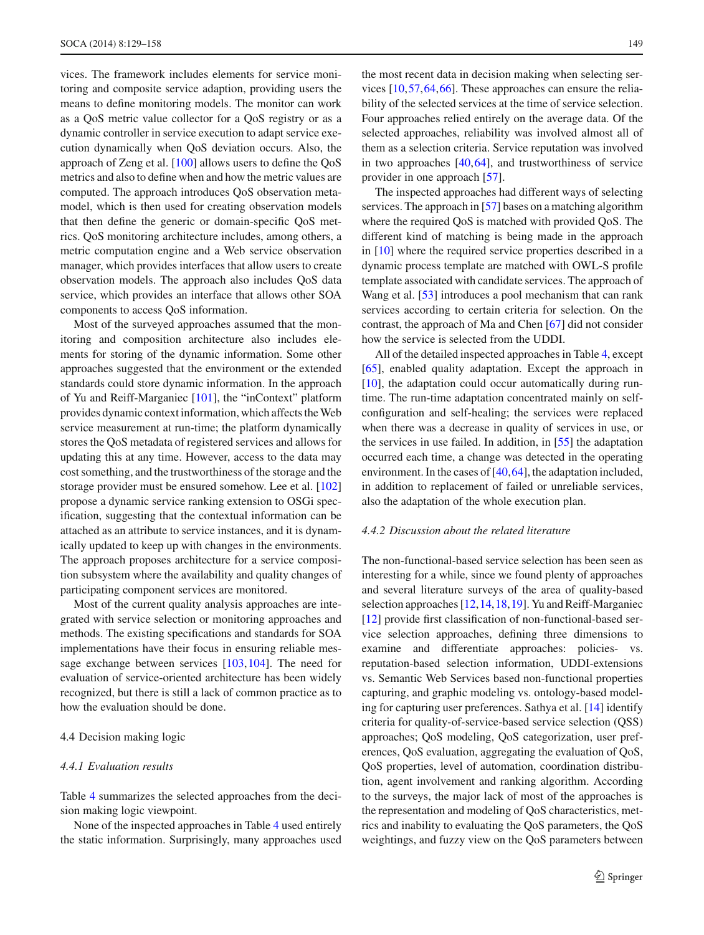vices. The framework includes elements for service monitoring and composite service adaption, providing users the means to define monitoring models. The monitor can work as a QoS metric value collector for a QoS registry or as a dynamic controller in service execution to adapt service execution dynamically when QoS deviation occurs. Also, the approach of Zeng et al. [\[100](#page-29-17)] allows users to define the QoS metrics and also to define when and how the metric values are computed. The approach introduces QoS observation metamodel, which is then used for creating observation models that then define the generic or domain-specific QoS metrics. QoS monitoring architecture includes, among others, a metric computation engine and a Web service observation manager, which provides interfaces that allow users to create observation models. The approach also includes QoS data service, which provides an interface that allows other SOA components to access QoS information.

Most of the surveyed approaches assumed that the monitoring and composition architecture also includes elements for storing of the dynamic information. Some other approaches suggested that the environment or the extended standards could store dynamic information. In the approach of Yu and Reiff-Marganiec [\[101](#page-29-18)], the "inContext" platform provides dynamic context information, which affects theWeb service measurement at run-time; the platform dynamically stores the QoS metadata of registered services and allows for updating this at any time. However, access to the data may cost something, and the trustworthiness of the storage and the storage provider must be ensured somehow. Lee et al. [\[102\]](#page-29-19) propose a dynamic service ranking extension to OSGi specification, suggesting that the contextual information can be attached as an attribute to service instances, and it is dynamically updated to keep up with changes in the environments. The approach proposes architecture for a service composition subsystem where the availability and quality changes of participating component services are monitored.

Most of the current quality analysis approaches are integrated with service selection or monitoring approaches and methods. The existing specifications and standards for SOA implementations have their focus in ensuring reliable message exchange between services [\[103,](#page-29-20)[104\]](#page-29-21). The need for evaluation of service-oriented architecture has been widely recognized, but there is still a lack of common practice as to how the evaluation should be done.

## 4.4 Decision making logic

## *4.4.1 Evaluation results*

Table [4](#page-21-0) summarizes the selected approaches from the decision making logic viewpoint.

None of the inspected approaches in Table [4](#page-21-0) used entirely the static information. Surprisingly, many approaches used the most recent data in decision making when selecting services [\[10](#page-27-7),[57,](#page-28-17)[64](#page-28-24)[,66](#page-28-26)]. These approaches can ensure the reliability of the selected services at the time of service selection. Four approaches relied entirely on the average data. Of the selected approaches, reliability was involved almost all of them as a selection criteria. Service reputation was involved in two approaches [\[40](#page-28-12),[64\]](#page-28-24), and trustworthiness of service provider in one approach [\[57\]](#page-28-17).

The inspected approaches had different ways of selecting services. The approach in [\[57\]](#page-28-17) bases on a matching algorithm where the required QoS is matched with provided QoS. The different kind of matching is being made in the approach in [\[10](#page-27-7)] where the required service properties described in a dynamic process template are matched with OWL-S profile template associated with candidate services. The approach of Wang et al. [\[53](#page-28-13)] introduces a pool mechanism that can rank services according to certain criteria for selection. On the contrast, the approach of Ma and Chen [\[67\]](#page-28-27) did not consider how the service is selected from the UDDI.

All of the detailed inspected approaches in Table [4,](#page-21-0) except [\[65](#page-28-25)], enabled quality adaptation. Except the approach in  $[10]$  $[10]$ , the adaptation could occur automatically during runtime. The run-time adaptation concentrated mainly on selfconfiguration and self-healing; the services were replaced when there was a decrease in quality of services in use, or the services in use failed. In addition, in [\[55](#page-28-15)] the adaptation occurred each time, a change was detected in the operating environment. In the cases of [\[40](#page-28-12)[,64](#page-28-24)], the adaptation included, in addition to replacement of failed or unreliable services, also the adaptation of the whole execution plan.

## *4.4.2 Discussion about the related literature*

The non-functional-based service selection has been seen as interesting for a while, since we found plenty of approaches and several literature surveys of the area of quality-based selection approaches [\[12](#page-27-10)[,14](#page-27-11)[,18](#page-27-13)[,19](#page-27-35)]. Yu and Reiff-Marganiec [\[12](#page-27-10)] provide first classification of non-functional-based service selection approaches, defining three dimensions to examine and differentiate approaches: policies- vs. reputation-based selection information, UDDI-extensions vs. Semantic Web Services based non-functional properties capturing, and graphic modeling vs. ontology-based modeling for capturing user preferences. Sathya et al. [\[14\]](#page-27-11) identify criteria for quality-of-service-based service selection (QSS) approaches; QoS modeling, QoS categorization, user preferences, QoS evaluation, aggregating the evaluation of QoS, QoS properties, level of automation, coordination distribution, agent involvement and ranking algorithm. According to the surveys, the major lack of most of the approaches is the representation and modeling of QoS characteristics, metrics and inability to evaluating the QoS parameters, the QoS weightings, and fuzzy view on the QoS parameters between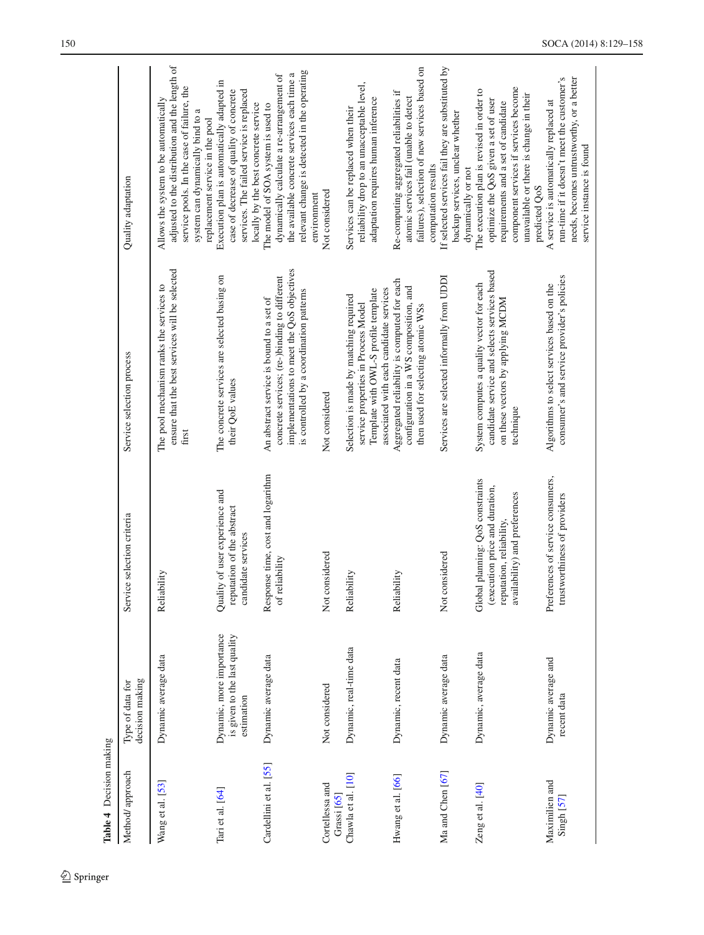<span id="page-21-0"></span>

| Table 4 Decision making                 |                                                                        |                                                                                                                                 |                                                                                                                                                                                    |                                                                                                                                                                                                                               |
|-----------------------------------------|------------------------------------------------------------------------|---------------------------------------------------------------------------------------------------------------------------------|------------------------------------------------------------------------------------------------------------------------------------------------------------------------------------|-------------------------------------------------------------------------------------------------------------------------------------------------------------------------------------------------------------------------------|
| Method/ approach                        | decision making<br>Type of data for                                    | Service selection criteria                                                                                                      | Service selection process                                                                                                                                                          | Quality adaptation                                                                                                                                                                                                            |
| Wang et al. [53]                        | Dynamic average data                                                   | Reliability                                                                                                                     | ensure that the best services will be selected<br>The pool mechanism ranks the services to<br>first                                                                                | adjusted to the distribution and the length of<br>service pools. In the case of failure, the<br>Allows the system to be automatically<br>system can dynamically bind to a<br>replacement service in the pool                  |
| Tari et al. [64]                        | Dynamic, more importance<br>is given to the last quality<br>estimation | Quality of user experience and<br>reputation of the abstract<br>candidate services                                              | The concrete services are selected basing on<br>their QoE values                                                                                                                   | Execution plan is automatically adapted in<br>services. The failed service is replaced<br>case of decrease of quality of concrete<br>locally by the best concrete service                                                     |
| Cardellini et al. [55]                  | Dynamic average data                                                   | Response time, cost and logarithm<br>reliability<br>of <sub>I</sub>                                                             | implementations to meet the QoS objectives<br>concrete services; (re-)binding to different<br>is controlled by a coordination patterns<br>An abstract service is bound to a set of | relevant change is detected in the operating<br>the available concrete services each time a<br>dynamically calculate a re-arrangement of<br>The model of SOA system is used to<br>environment                                 |
| Cortellessa and<br>Grassi [65]          | Not considered                                                         | Not considered                                                                                                                  | Not considered                                                                                                                                                                     | Not considered                                                                                                                                                                                                                |
| Chawla et al. [10]                      | Dynamic, real-time data                                                | Reliability                                                                                                                     | associated with each candidate services<br>Template with OWL-S profile template<br>Selection is made by matching required<br>service properties in Process Model                   | reliability drop to an unacceptable level,<br>adaptation requires human inference<br>Services can be replaced when their                                                                                                      |
| Hwang et al. [66]                       | Dynamic, recent data                                                   | Reliability                                                                                                                     | Aggregated reliability is computed for each<br>configuration in a WS composition, and<br>then used for selecting atomic WSs                                                        | failures), selection of new services based on<br>Re-computing aggregated reliabilities if<br>atomic services fail (unable to detect<br>computation results                                                                    |
| Ma and Chen [67]                        | Dynamic average data                                                   | Not considered                                                                                                                  | Services are selected informally from UDDI                                                                                                                                         | If selected services fail they are substituted by<br>backup services, unclear whether<br>dynamically or not                                                                                                                   |
| Zeng et al. [40]                        | Dynamic, average data                                                  | Global planning: QoS constraints<br>(execution price and duration,<br>availability) and preferences<br>reputation, reliability, | candidate service and selects services based<br>System computes a quality vector for each<br>on these vectors by applying MCDM<br>technique                                        | component services if services become<br>The execution plan is revised in order to<br>unavailable or there is change in their<br>optimize the QoS given a set of user<br>requirements and a set of candidate<br>predicted QoS |
| Maximilien and<br>Singh <sub>[57]</sub> | Dynamic average and<br>recent data                                     | Preferences of service consumers,<br>trustworthiness of providers                                                               | consumer's and service provider's policies<br>Algorithms to select services based on the                                                                                           | run-time if it doesn't meet the customer's<br>needs, becomes untrustworthy, or a better<br>A service is automatically replaced at<br>service instance is found                                                                |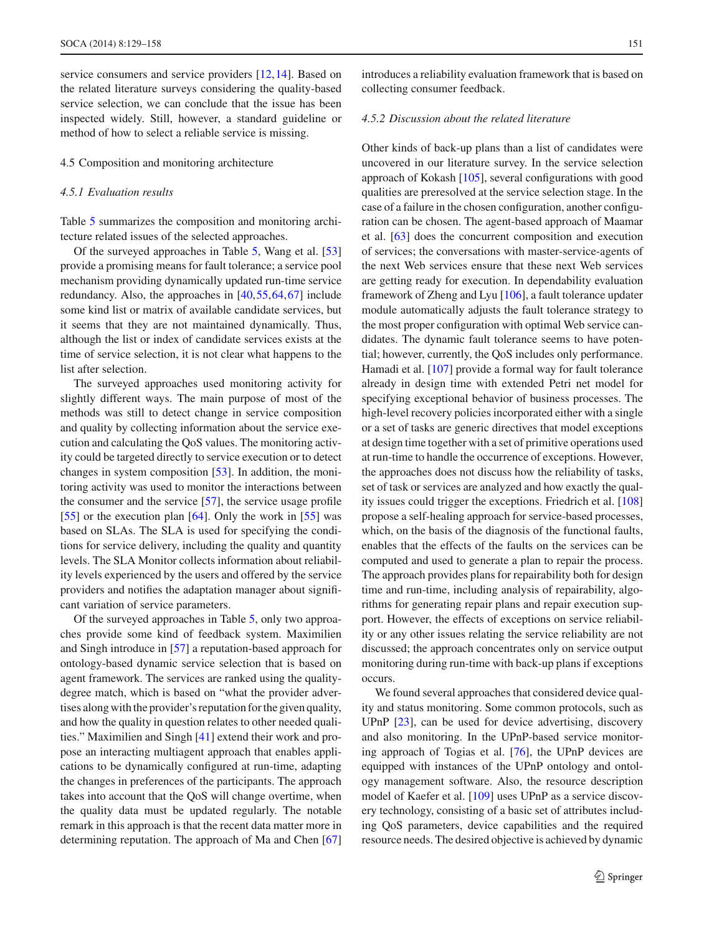service consumers and service providers [\[12](#page-27-10)[,14](#page-27-11)]. Based on the related literature surveys considering the quality-based service selection, we can conclude that the issue has been inspected widely. Still, however, a standard guideline or method of how to select a reliable service is missing.

4.5 Composition and monitoring architecture

#### *4.5.1 Evaluation results*

Table [5](#page-23-0) summarizes the composition and monitoring architecture related issues of the selected approaches.

Of the surveyed approaches in Table [5,](#page-23-0) Wang et al. [\[53\]](#page-28-13) provide a promising means for fault tolerance; a service pool mechanism providing dynamically updated run-time service redundancy. Also, the approaches in [\[40](#page-28-12)[,55](#page-28-15)[,64](#page-28-24)[,67](#page-28-27)] include some kind list or matrix of available candidate services, but it seems that they are not maintained dynamically. Thus, although the list or index of candidate services exists at the time of service selection, it is not clear what happens to the list after selection.

The surveyed approaches used monitoring activity for slightly different ways. The main purpose of most of the methods was still to detect change in service composition and quality by collecting information about the service execution and calculating the QoS values. The monitoring activity could be targeted directly to service execution or to detect changes in system composition [\[53\]](#page-28-13). In addition, the monitoring activity was used to monitor the interactions between the consumer and the service  $[57]$  $[57]$ , the service usage profile [\[55](#page-28-15)] or the execution plan [\[64](#page-28-24)]. Only the work in [55] was based on SLAs. The SLA is used for specifying the conditions for service delivery, including the quality and quantity levels. The SLA Monitor collects information about reliability levels experienced by the users and offered by the service providers and notifies the adaptation manager about significant variation of service parameters.

Of the surveyed approaches in Table [5,](#page-23-0) only two approaches provide some kind of feedback system. Maximilien and Singh introduce in [\[57](#page-28-17)] a reputation-based approach for ontology-based dynamic service selection that is based on agent framework. The services are ranked using the qualitydegree match, which is based on "what the provider advertises along with the provider's reputation for the given quality, and how the quality in question relates to other needed qualities." Maximilien and Singh [\[41](#page-28-1)] extend their work and propose an interacting multiagent approach that enables applications to be dynamically configured at run-time, adapting the changes in preferences of the participants. The approach takes into account that the QoS will change overtime, when the quality data must be updated regularly. The notable remark in this approach is that the recent data matter more in determining reputation. The approach of Ma and Chen [\[67\]](#page-28-27) introduces a reliability evaluation framework that is based on collecting consumer feedback.

## *4.5.2 Discussion about the related literature*

Other kinds of back-up plans than a list of candidates were uncovered in our literature survey. In the service selection approach of Kokash [\[105](#page-29-22)], several configurations with good qualities are preresolved at the service selection stage. In the case of a failure in the chosen configuration, another configuration can be chosen. The agent-based approach of Maamar et al. [\[63\]](#page-28-23) does the concurrent composition and execution of services; the conversations with master-service-agents of the next Web services ensure that these next Web services are getting ready for execution. In dependability evaluation framework of Zheng and Lyu [\[106](#page-29-23)], a fault tolerance updater module automatically adjusts the fault tolerance strategy to the most proper configuration with optimal Web service candidates. The dynamic fault tolerance seems to have potential; however, currently, the QoS includes only performance. Hamadi et al. [\[107](#page-29-24)] provide a formal way for fault tolerance already in design time with extended Petri net model for specifying exceptional behavior of business processes. The high-level recovery policies incorporated either with a single or a set of tasks are generic directives that model exceptions at design time together with a set of primitive operations used at run-time to handle the occurrence of exceptions. However, the approaches does not discuss how the reliability of tasks, set of task or services are analyzed and how exactly the quality issues could trigger the exceptions. Friedrich et al. [\[108\]](#page-29-25) propose a self-healing approach for service-based processes, which, on the basis of the diagnosis of the functional faults, enables that the effects of the faults on the services can be computed and used to generate a plan to repair the process. The approach provides plans for repairability both for design time and run-time, including analysis of repairability, algorithms for generating repair plans and repair execution support. However, the effects of exceptions on service reliability or any other issues relating the service reliability are not discussed; the approach concentrates only on service output monitoring during run-time with back-up plans if exceptions occurs.

We found several approaches that considered device quality and status monitoring. Some common protocols, such as UPnP [\[23\]](#page-27-17), can be used for device advertising, discovery and also monitoring. In the UPnP-based service monitoring approach of Togias et al. [\[76\]](#page-28-34), the UPnP devices are equipped with instances of the UPnP ontology and ontology management software. Also, the resource description model of Kaefer et al. [\[109\]](#page-29-26) uses UPnP as a service discovery technology, consisting of a basic set of attributes including QoS parameters, device capabilities and the required resource needs. The desired objective is achieved by dynamic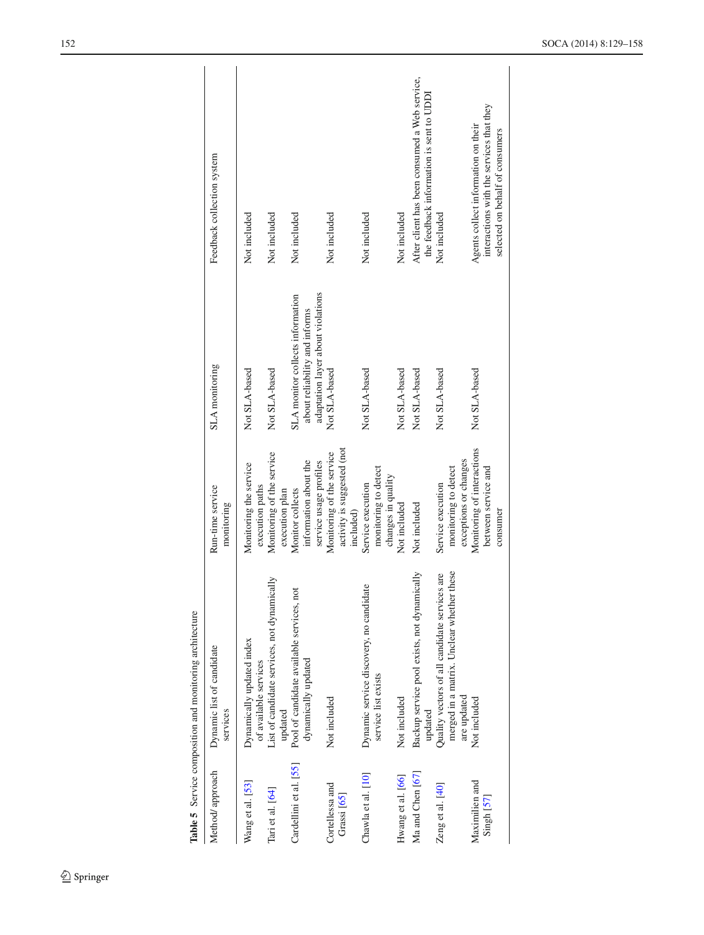|                                | Table 5 Service composition and monitoring architecture                                                   |                                                                      |                                                                                                        |                                                                                                                    |
|--------------------------------|-----------------------------------------------------------------------------------------------------------|----------------------------------------------------------------------|--------------------------------------------------------------------------------------------------------|--------------------------------------------------------------------------------------------------------------------|
| Method/approach                | Dynamic list of candidate<br>services                                                                     | Run-time service<br>monitoring                                       | SLA monitoring                                                                                         | Feedback collection system                                                                                         |
| Wang et al. [53]               | Dynamically updated index<br>of available services                                                        | Monitoring the service<br>execution paths                            | Not SLA-based                                                                                          | Not included                                                                                                       |
| Tari et al. [64]               | List of candidate services, not dynamically<br>updated                                                    | Monitoring of the service<br>execution plan                          | Not SLA-based                                                                                          | Not included                                                                                                       |
| Cardellini et al. [55]         | Pool of candidate available services, not<br>dynamically updated                                          | information about the<br>service usage profiles<br>Monitor collects  | adaptation layer about violations<br>SLA monitor collects information<br>about reliability and informs | Not included                                                                                                       |
| Cortellessa and<br>Grassi [65] | Not included                                                                                              | activity is suggested (not<br>Monitoring of the service<br>included) | Not SLA-based                                                                                          | Not included                                                                                                       |
| Chawla et al. [10]             | Dynamic service discovery, no candidate<br>service list exists                                            | monitoring to detect<br>changes in quality<br>Service execution      | Not SLA-based                                                                                          | Not included                                                                                                       |
| Hwang et al. [66]              | Not included                                                                                              | Not included                                                         | Not SLA-based                                                                                          | Not included                                                                                                       |
| Ma and Chen [67]               | Backup service pool exists, not dynamically<br>updated                                                    | Not included                                                         | Not SLA-based                                                                                          | After client has been consumed a Web service,<br>the feedback information is sent to UDDI                          |
| Zeng et al. [40]               | merged in a matrix. Unclear whether these<br>Quality vectors of all candidate services are<br>are updated | exceptions or changes<br>monitoring to detect<br>Service execution   | Not SLA-based                                                                                          | Not included                                                                                                       |
| Maximilien and<br>Singh [57]   | Not included                                                                                              | Monitoring of interactions<br>between service and<br>consumer        | Not SLA-based                                                                                          | interactions with the services that they<br>Agents collect information on their<br>selected on behalf of consumers |
|                                |                                                                                                           |                                                                      |                                                                                                        |                                                                                                                    |

<span id="page-23-0"></span>

 $\mathcal{L}$  Springer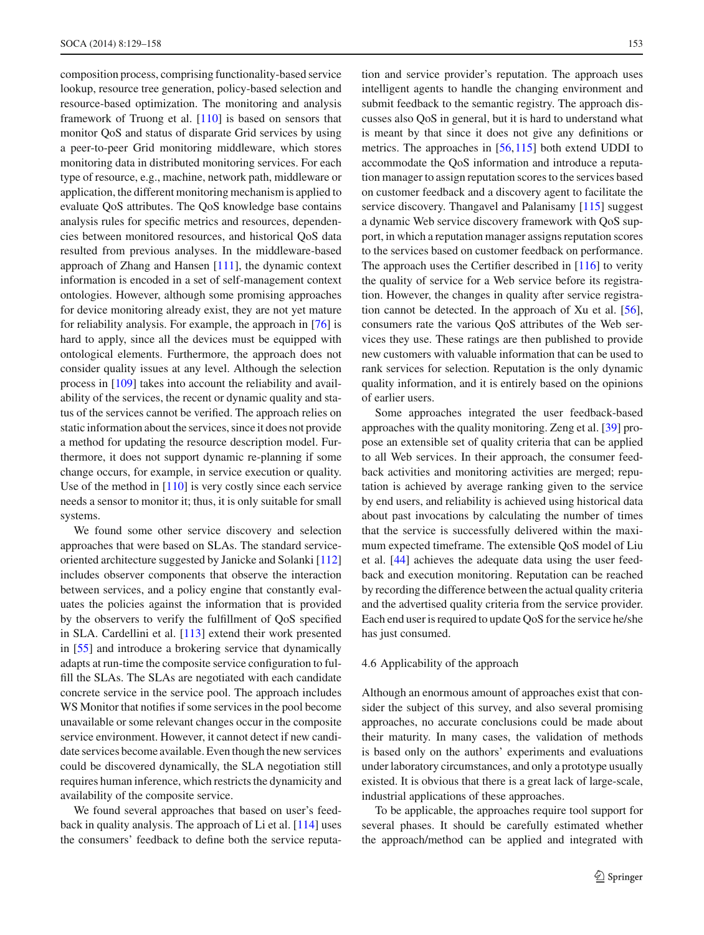composition process, comprising functionality-based service lookup, resource tree generation, policy-based selection and resource-based optimization. The monitoring and analysis framework of Truong et al. [\[110\]](#page-29-27) is based on sensors that monitor QoS and status of disparate Grid services by using a peer-to-peer Grid monitoring middleware, which stores monitoring data in distributed monitoring services. For each type of resource, e.g., machine, network path, middleware or application, the different monitoring mechanism is applied to evaluate QoS attributes. The QoS knowledge base contains analysis rules for specific metrics and resources, dependencies between monitored resources, and historical QoS data resulted from previous analyses. In the middleware-based approach of Zhang and Hansen [\[111\]](#page-29-28), the dynamic context information is encoded in a set of self-management context ontologies. However, although some promising approaches for device monitoring already exist, they are not yet mature for reliability analysis. For example, the approach in [\[76\]](#page-28-34) is hard to apply, since all the devices must be equipped with ontological elements. Furthermore, the approach does not consider quality issues at any level. Although the selection process in [\[109](#page-29-26)] takes into account the reliability and availability of the services, the recent or dynamic quality and status of the services cannot be verified. The approach relies on static information about the services, since it does not provide a method for updating the resource description model. Furthermore, it does not support dynamic re-planning if some change occurs, for example, in service execution or quality. Use of the method in [\[110\]](#page-29-27) is very costly since each service needs a sensor to monitor it; thus, it is only suitable for small systems.

We found some other service discovery and selection approaches that were based on SLAs. The standard serviceoriented architecture suggested by Janicke and Solanki [\[112\]](#page-29-29) includes observer components that observe the interaction between services, and a policy engine that constantly evaluates the policies against the information that is provided by the observers to verify the fulfillment of QoS specified in SLA. Cardellini et al. [\[113](#page-29-30)] extend their work presented in [\[55](#page-28-15)] and introduce a brokering service that dynamically adapts at run-time the composite service configuration to fulfill the SLAs. The SLAs are negotiated with each candidate concrete service in the service pool. The approach includes WS Monitor that notifies if some services in the pool become unavailable or some relevant changes occur in the composite service environment. However, it cannot detect if new candidate services become available. Even though the new services could be discovered dynamically, the SLA negotiation still requires human inference, which restricts the dynamicity and availability of the composite service.

We found several approaches that based on user's feedback in quality analysis. The approach of Li et al. [\[114](#page-29-31)] uses the consumers' feedback to define both the service reputation and service provider's reputation. The approach uses intelligent agents to handle the changing environment and submit feedback to the semantic registry. The approach discusses also QoS in general, but it is hard to understand what is meant by that since it does not give any definitions or metrics. The approaches in [\[56,](#page-28-16)[115\]](#page-29-32) both extend UDDI to accommodate the QoS information and introduce a reputation manager to assign reputation scores to the services based on customer feedback and a discovery agent to facilitate the service discovery. Thangavel and Palanisamy [\[115](#page-29-32)] suggest a dynamic Web service discovery framework with QoS support, in which a reputation manager assigns reputation scores to the services based on customer feedback on performance. The approach uses the Certifier described in [\[116](#page-29-33)] to verity the quality of service for a Web service before its registration. However, the changes in quality after service registration cannot be detected. In the approach of Xu et al. [\[56](#page-28-16)], consumers rate the various QoS attributes of the Web services they use. These ratings are then published to provide new customers with valuable information that can be used to rank services for selection. Reputation is the only dynamic quality information, and it is entirely based on the opinions of earlier users.

Some approaches integrated the user feedback-based approaches with the quality monitoring. Zeng et al. [\[39](#page-27-33)] propose an extensible set of quality criteria that can be applied to all Web services. In their approach, the consumer feedback activities and monitoring activities are merged; reputation is achieved by average ranking given to the service by end users, and reliability is achieved using historical data about past invocations by calculating the number of times that the service is successfully delivered within the maximum expected timeframe. The extensible QoS model of Liu et al. [\[44](#page-28-3)] achieves the adequate data using the user feedback and execution monitoring. Reputation can be reached by recording the difference between the actual quality criteria and the advertised quality criteria from the service provider. Each end user is required to update QoS for the service he/she has just consumed.

#### 4.6 Applicability of the approach

Although an enormous amount of approaches exist that consider the subject of this survey, and also several promising approaches, no accurate conclusions could be made about their maturity. In many cases, the validation of methods is based only on the authors' experiments and evaluations under laboratory circumstances, and only a prototype usually existed. It is obvious that there is a great lack of large-scale, industrial applications of these approaches.

To be applicable, the approaches require tool support for several phases. It should be carefully estimated whether the approach/method can be applied and integrated with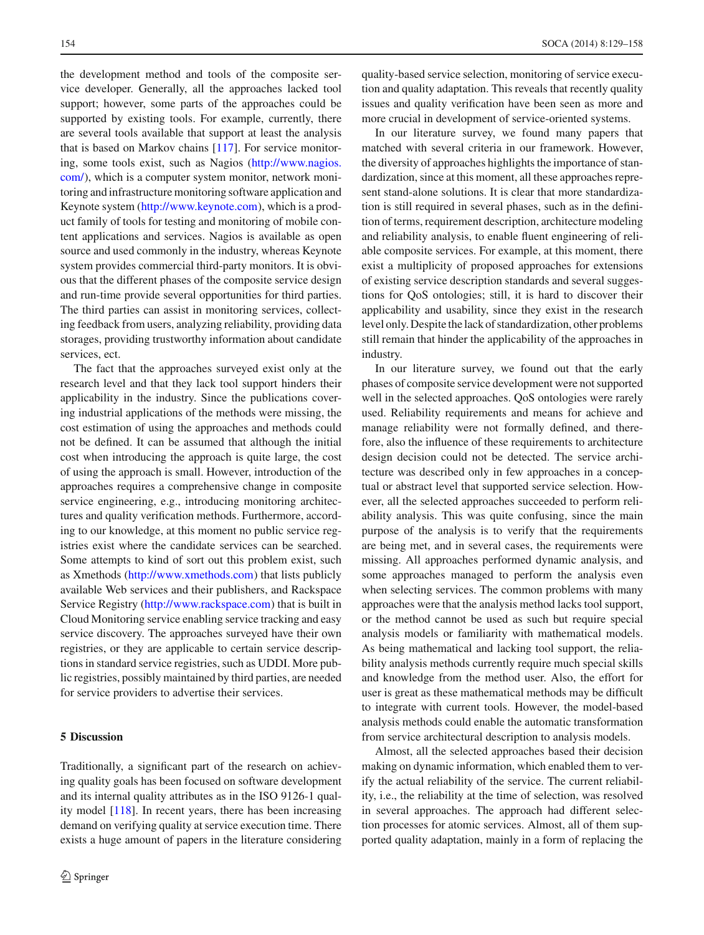the development method and tools of the composite service developer. Generally, all the approaches lacked tool support; however, some parts of the approaches could be supported by existing tools. For example, currently, there are several tools available that support at least the analysis that is based on Markov chains [\[117\]](#page-29-34). For service monitoring, some tools exist, such as Nagios [\(http://www.nagios.](http://www.nagios.com/) [com/\)](http://www.nagios.com/), which is a computer system monitor, network monitoring and infrastructure monitoring software application and Keynote system [\(http://www.keynote.com\)](http://www.keynote.com), which is a product family of tools for testing and monitoring of mobile content applications and services. Nagios is available as open source and used commonly in the industry, whereas Keynote system provides commercial third-party monitors. It is obvious that the different phases of the composite service design and run-time provide several opportunities for third parties. The third parties can assist in monitoring services, collecting feedback from users, analyzing reliability, providing data storages, providing trustworthy information about candidate services, ect.

The fact that the approaches surveyed exist only at the research level and that they lack tool support hinders their applicability in the industry. Since the publications covering industrial applications of the methods were missing, the cost estimation of using the approaches and methods could not be defined. It can be assumed that although the initial cost when introducing the approach is quite large, the cost of using the approach is small. However, introduction of the approaches requires a comprehensive change in composite service engineering, e.g., introducing monitoring architectures and quality verification methods. Furthermore, according to our knowledge, at this moment no public service registries exist where the candidate services can be searched. Some attempts to kind of sort out this problem exist, such as Xmethods [\(http://www.xmethods.com\)](http://www.xmethods.com) that lists publicly available Web services and their publishers, and Rackspace Service Registry [\(http://www.rackspace.com\)](http://www.rackspace.com) that is built in Cloud Monitoring service enabling service tracking and easy service discovery. The approaches surveyed have their own registries, or they are applicable to certain service descriptions in standard service registries, such as UDDI. More public registries, possibly maintained by third parties, are needed for service providers to advertise their services.

# <span id="page-25-0"></span>**5 Discussion**

Traditionally, a significant part of the research on achieving quality goals has been focused on software development and its internal quality attributes as in the ISO 9126-1 quality model [\[118](#page-29-35)]. In recent years, there has been increasing demand on verifying quality at service execution time. There exists a huge amount of papers in the literature considering quality-based service selection, monitoring of service execution and quality adaptation. This reveals that recently quality issues and quality verification have been seen as more and more crucial in development of service-oriented systems.

In our literature survey, we found many papers that matched with several criteria in our framework. However, the diversity of approaches highlights the importance of standardization, since at this moment, all these approaches represent stand-alone solutions. It is clear that more standardization is still required in several phases, such as in the definition of terms, requirement description, architecture modeling and reliability analysis, to enable fluent engineering of reliable composite services. For example, at this moment, there exist a multiplicity of proposed approaches for extensions of existing service description standards and several suggestions for QoS ontologies; still, it is hard to discover their applicability and usability, since they exist in the research level only. Despite the lack of standardization, other problems still remain that hinder the applicability of the approaches in industry.

In our literature survey, we found out that the early phases of composite service development were not supported well in the selected approaches. QoS ontologies were rarely used. Reliability requirements and means for achieve and manage reliability were not formally defined, and therefore, also the influence of these requirements to architecture design decision could not be detected. The service architecture was described only in few approaches in a conceptual or abstract level that supported service selection. However, all the selected approaches succeeded to perform reliability analysis. This was quite confusing, since the main purpose of the analysis is to verify that the requirements are being met, and in several cases, the requirements were missing. All approaches performed dynamic analysis, and some approaches managed to perform the analysis even when selecting services. The common problems with many approaches were that the analysis method lacks tool support, or the method cannot be used as such but require special analysis models or familiarity with mathematical models. As being mathematical and lacking tool support, the reliability analysis methods currently require much special skills and knowledge from the method user. Also, the effort for user is great as these mathematical methods may be difficult to integrate with current tools. However, the model-based analysis methods could enable the automatic transformation from service architectural description to analysis models.

Almost, all the selected approaches based their decision making on dynamic information, which enabled them to verify the actual reliability of the service. The current reliability, i.e., the reliability at the time of selection, was resolved in several approaches. The approach had different selection processes for atomic services. Almost, all of them supported quality adaptation, mainly in a form of replacing the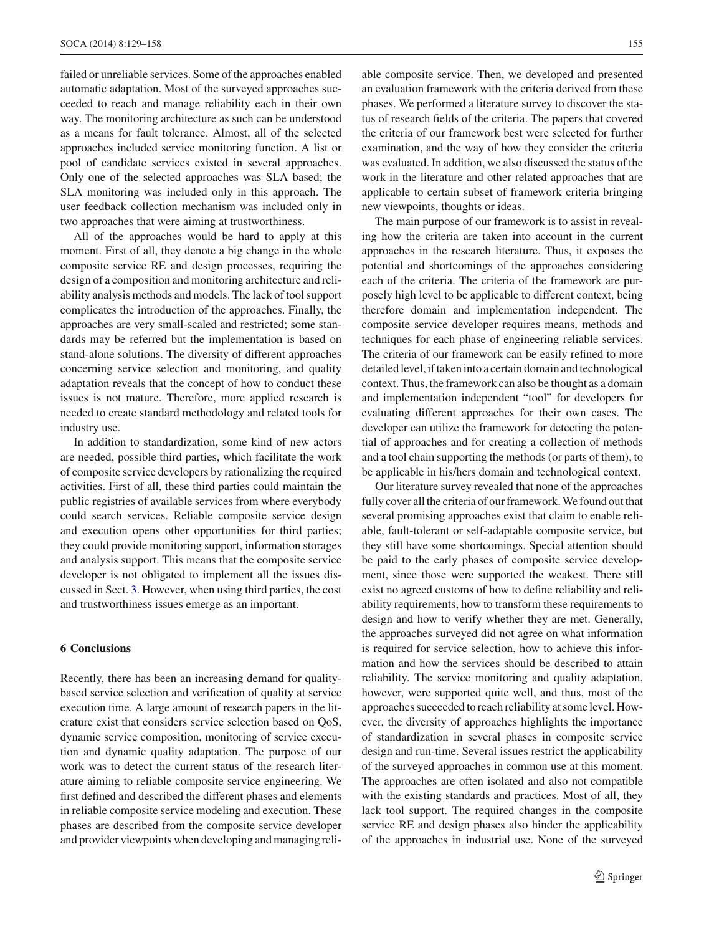failed or unreliable services. Some of the approaches enabled automatic adaptation. Most of the surveyed approaches succeeded to reach and manage reliability each in their own way. The monitoring architecture as such can be understood as a means for fault tolerance. Almost, all of the selected approaches included service monitoring function. A list or pool of candidate services existed in several approaches. Only one of the selected approaches was SLA based; the SLA monitoring was included only in this approach. The user feedback collection mechanism was included only in two approaches that were aiming at trustworthiness.

All of the approaches would be hard to apply at this moment. First of all, they denote a big change in the whole composite service RE and design processes, requiring the design of a composition and monitoring architecture and reliability analysis methods and models. The lack of tool support complicates the introduction of the approaches. Finally, the approaches are very small-scaled and restricted; some standards may be referred but the implementation is based on stand-alone solutions. The diversity of different approaches concerning service selection and monitoring, and quality adaptation reveals that the concept of how to conduct these issues is not mature. Therefore, more applied research is needed to create standard methodology and related tools for industry use.

In addition to standardization, some kind of new actors are needed, possible third parties, which facilitate the work of composite service developers by rationalizing the required activities. First of all, these third parties could maintain the public registries of available services from where everybody could search services. Reliable composite service design and execution opens other opportunities for third parties; they could provide monitoring support, information storages and analysis support. This means that the composite service developer is not obligated to implement all the issues discussed in Sect. [3.](#page-5-0) However, when using third parties, the cost and trustworthiness issues emerge as an important.

# <span id="page-26-0"></span>**6 Conclusions**

Recently, there has been an increasing demand for qualitybased service selection and verification of quality at service execution time. A large amount of research papers in the literature exist that considers service selection based on QoS, dynamic service composition, monitoring of service execution and dynamic quality adaptation. The purpose of our work was to detect the current status of the research literature aiming to reliable composite service engineering. We first defined and described the different phases and elements in reliable composite service modeling and execution. These phases are described from the composite service developer and provider viewpoints when developing and managing reliable composite service. Then, we developed and presented an evaluation framework with the criteria derived from these phases. We performed a literature survey to discover the status of research fields of the criteria. The papers that covered the criteria of our framework best were selected for further examination, and the way of how they consider the criteria was evaluated. In addition, we also discussed the status of the work in the literature and other related approaches that are applicable to certain subset of framework criteria bringing new viewpoints, thoughts or ideas.

The main purpose of our framework is to assist in revealing how the criteria are taken into account in the current approaches in the research literature. Thus, it exposes the potential and shortcomings of the approaches considering each of the criteria. The criteria of the framework are purposely high level to be applicable to different context, being therefore domain and implementation independent. The composite service developer requires means, methods and techniques for each phase of engineering reliable services. The criteria of our framework can be easily refined to more detailed level, if taken into a certain domain and technological context. Thus, the framework can also be thought as a domain and implementation independent "tool" for developers for evaluating different approaches for their own cases. The developer can utilize the framework for detecting the potential of approaches and for creating a collection of methods and a tool chain supporting the methods (or parts of them), to be applicable in his/hers domain and technological context.

Our literature survey revealed that none of the approaches fully cover all the criteria of our framework. We found out that several promising approaches exist that claim to enable reliable, fault-tolerant or self-adaptable composite service, but they still have some shortcomings. Special attention should be paid to the early phases of composite service development, since those were supported the weakest. There still exist no agreed customs of how to define reliability and reliability requirements, how to transform these requirements to design and how to verify whether they are met. Generally, the approaches surveyed did not agree on what information is required for service selection, how to achieve this information and how the services should be described to attain reliability. The service monitoring and quality adaptation, however, were supported quite well, and thus, most of the approaches succeeded to reach reliability at some level. However, the diversity of approaches highlights the importance of standardization in several phases in composite service design and run-time. Several issues restrict the applicability of the surveyed approaches in common use at this moment. The approaches are often isolated and also not compatible with the existing standards and practices. Most of all, they lack tool support. The required changes in the composite service RE and design phases also hinder the applicability of the approaches in industrial use. None of the surveyed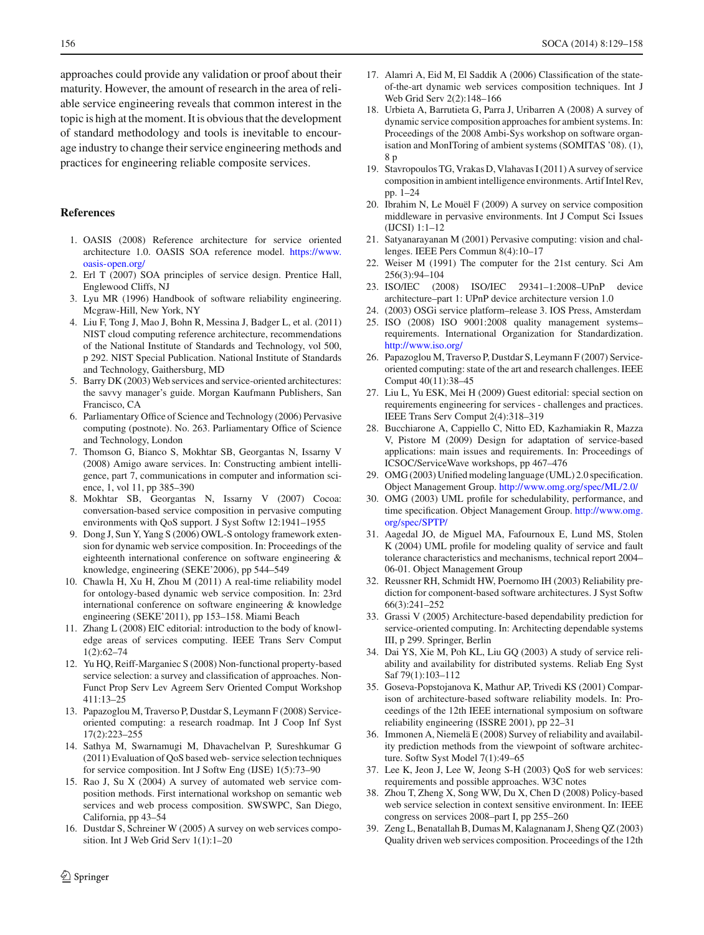approaches could provide any validation or proof about their maturity. However, the amount of research in the area of reliable service engineering reveals that common interest in the topic is high at the moment. It is obvious that the development of standard methodology and tools is inevitable to encourage industry to change their service engineering methods and practices for engineering reliable composite services.

# <span id="page-27-0"></span>**References**

- 1. OASIS (2008) Reference architecture for service oriented architecture 1.0. OASIS SOA reference model. [https://www.](https://www.oasis-open.org/) [oasis-open.org/](https://www.oasis-open.org/)
- <span id="page-27-1"></span>2. Erl T (2007) SOA principles of service design. Prentice Hall, Englewood Cliffs, NJ
- <span id="page-27-2"></span>3. Lyu MR (1996) Handbook of software reliability engineering. Mcgraw-Hill, New York, NY
- <span id="page-27-3"></span>4. Liu F, Tong J, Mao J, Bohn R, Messina J, Badger L, et al. (2011) NIST cloud computing reference architecture, recommendations of the National Institute of Standards and Technology, vol 500, p 292. NIST Special Publication. National Institute of Standards and Technology, Gaithersburg, MD
- <span id="page-27-4"></span>5. Barry DK (2003) Web services and service-oriented architectures: the savvy manager's guide. Morgan Kaufmann Publishers, San Francisco, CA
- <span id="page-27-5"></span>6. Parliamentary Office of Science and Technology (2006) Pervasive computing (postnote). No. 263. Parliamentary Office of Science and Technology, London
- <span id="page-27-6"></span>7. Thomson G, Bianco S, Mokhtar SB, Georgantas N, Issarny V (2008) Amigo aware services. In: Constructing ambient intelligence, part 7, communications in computer and information science, 1, vol 11, pp 385–390
- <span id="page-27-31"></span>8. Mokhtar SB, Georgantas N, Issarny V (2007) Cocoa: conversation-based service composition in pervasive computing environments with QoS support. J Syst Softw 12:1941–1955
- <span id="page-27-34"></span>9. Dong J, Sun Y, Yang S (2006) OWL-S ontology framework extension for dynamic web service composition. In: Proceedings of the eighteenth international conference on software engineering & knowledge, engineering (SEKE'2006), pp 544–549
- <span id="page-27-7"></span>10. Chawla H, Xu H, Zhou M (2011) A real-time reliability model for ontology-based dynamic web service composition. In: 23rd international conference on software engineering & knowledge engineering (SEKE'2011), pp 153–158. Miami Beach
- <span id="page-27-8"></span>11. Zhang L (2008) EIC editorial: introduction to the body of knowledge areas of services computing. IEEE Trans Serv Comput 1(2):62–74
- <span id="page-27-10"></span>12. Yu HQ, Reiff-Marganiec S (2008) Non-functional property-based service selection: a survey and classification of approaches. Non-Funct Prop Serv Lev Agreem Serv Oriented Comput Workshop 411:13–25
- <span id="page-27-9"></span>13. Papazoglou M, Traverso P, Dustdar S, Leymann F (2008) Serviceoriented computing: a research roadmap. Int J Coop Inf Syst 17(2):223–255
- <span id="page-27-11"></span>14. Sathya M, Swarnamugi M, Dhavachelvan P, Sureshkumar G (2011) Evaluation of QoS based web- service selection techniques for service composition. Int J Softw Eng (IJSE) 1(5):73–90
- 15. Rao J, Su X (2004) A survey of automated web service composition methods. First international workshop on semantic web services and web process composition. SWSWPC, San Diego, California, pp 43–54
- 16. Dustdar S, Schreiner W (2005) A survey on web services composition. Int J Web Grid Serv 1(1):1–20
- <span id="page-27-12"></span>17. Alamri A, Eid M, El Saddik A (2006) Classification of the stateof-the-art dynamic web services composition techniques. Int J Web Grid Serv 2(2):148–166
- <span id="page-27-13"></span>18. Urbieta A, Barrutieta G, Parra J, Uribarren A (2008) A survey of dynamic service composition approaches for ambient systems. In: Proceedings of the 2008 Ambi-Sys workshop on software organisation and MonIToring of ambient systems (SOMITAS '08). (1), 8 p
- <span id="page-27-35"></span>19. Stavropoulos TG, Vrakas D, Vlahavas I (2011) A survey of service composition in ambient intelligence environments. Artif Intel Rev, pp. 1–24
- <span id="page-27-14"></span>20. Ibrahim N, Le Mouël F (2009) A survey on service composition middleware in pervasive environments. Int J Comput Sci Issues (IJCSI) 1:1–12
- <span id="page-27-15"></span>21. Satyanarayanan M (2001) Pervasive computing: vision and challenges. IEEE Pers Commun 8(4):10–17
- <span id="page-27-16"></span>22. Weiser M (1991) The computer for the 21st century. Sci Am 256(3):94–104
- <span id="page-27-17"></span>23. ISO/IEC (2008) ISO/IEC 29341–1:2008–UPnP device architecture–part 1: UPnP device architecture version 1.0
- <span id="page-27-18"></span>24. (2003) OSGi service platform–release 3. IOS Press, Amsterdam
- <span id="page-27-19"></span>25. ISO (2008) ISO 9001:2008 quality management systems– requirements. International Organization for Standardization. <http://www.iso.org/>
- <span id="page-27-20"></span>26. Papazoglou M, Traverso P, Dustdar S, Leymann F (2007) Serviceoriented computing: state of the art and research challenges. IEEE Comput 40(11):38–45
- <span id="page-27-21"></span>27. Liu L, Yu ESK, Mei H (2009) Guest editorial: special section on requirements engineering for services - challenges and practices. IEEE Trans Serv Comput 2(4):318–319
- <span id="page-27-22"></span>28. Bucchiarone A, Cappiello C, Nitto ED, Kazhamiakin R, Mazza V, Pistore M (2009) Design for adaptation of service-based applications: main issues and requirements. In: Proceedings of ICSOC/ServiceWave workshops, pp 467–476
- <span id="page-27-23"></span>29. OMG (2003) Unified modeling language (UML) 2.0 specification. Object Management Group. <http://www.omg.org/spec/ML/2.0/>
- <span id="page-27-24"></span>30. OMG (2003) UML profile for schedulability, performance, and time specification. Object Management Group. [http://www.omg.](http://www.omg.org/spec/SPTP/) [org/spec/SPTP/](http://www.omg.org/spec/SPTP/)
- <span id="page-27-25"></span>31. Aagedal JO, de Miguel MA, Fafournoux E, Lund MS, Stolen K (2004) UML profile for modeling quality of service and fault tolerance characteristics and mechanisms, technical report 2004– 06-01. Object Management Group
- <span id="page-27-26"></span>32. Reussner RH, Schmidt HW, Poernomo IH (2003) Reliability prediction for component-based software architectures. J Syst Softw 66(3):241–252
- 33. Grassi V (2005) Architecture-based dependability prediction for service-oriented computing. In: Architecting dependable systems III, p 299. Springer, Berlin
- <span id="page-27-27"></span>34. Dai YS, Xie M, Poh KL, Liu GQ (2003) A study of service reliability and availability for distributed systems. Reliab Eng Syst Saf 79(1):103–112
- <span id="page-27-28"></span>35. Goseva-Popstojanova K, Mathur AP, Trivedi KS (2001) Comparison of architecture-based software reliability models. In: Proceedings of the 12th IEEE international symposium on software reliability engineering (ISSRE 2001), pp 22–31
- <span id="page-27-29"></span>36. Immonen A, Niemelä E (2008) Survey of reliability and availability prediction methods from the viewpoint of software architecture. Softw Syst Model 7(1):49–65
- <span id="page-27-30"></span>37. Lee K, Jeon J, Lee W, Jeong S-H (2003) QoS for web services: requirements and possible approaches. W3C notes
- <span id="page-27-32"></span>38. Zhou T, Zheng X, Song WW, Du X, Chen D (2008) Policy-based web service selection in context sensitive environment. In: IEEE congress on services 2008–part I, pp 255–260
- <span id="page-27-33"></span>39. Zeng L, Benatallah B, Dumas M, Kalagnanam J, Sheng QZ (2003) Quality driven web services composition. Proceedings of the 12th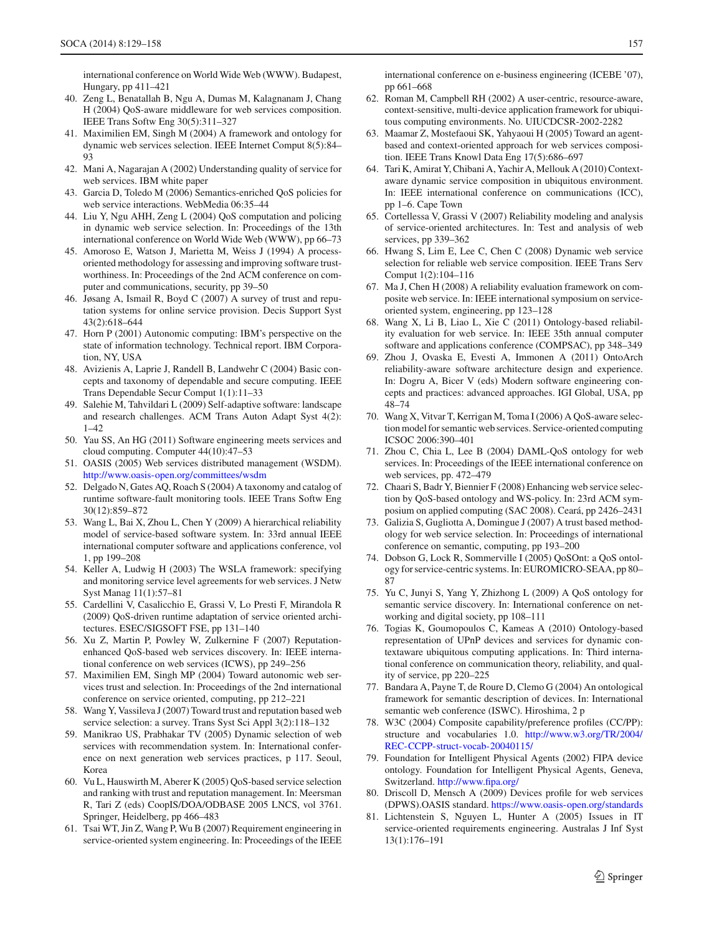international conference on World Wide Web (WWW). Budapest, Hungary, pp 411–421

- <span id="page-28-12"></span>40. Zeng L, Benatallah B, Ngu A, Dumas M, Kalagnanam J, Chang H (2004) QoS-aware middleware for web services composition. IEEE Trans Softw Eng 30(5):311–327
- <span id="page-28-1"></span>41. Maximilien EM, Singh M (2004) A framework and ontology for dynamic web services selection. IEEE Internet Comput 8(5):84– 93
- <span id="page-28-2"></span>42. Mani A, Nagarajan A (2002) Understanding quality of service for web services. IBM white paper
- <span id="page-28-0"></span>43. Garcia D, Toledo M (2006) Semantics-enriched QoS policies for web service interactions. WebMedia 06:35–44
- <span id="page-28-3"></span>44. Liu Y, Ngu AHH, Zeng L (2004) QoS computation and policing in dynamic web service selection. In: Proceedings of the 13th international conference on World Wide Web (WWW), pp 66–73
- <span id="page-28-4"></span>45. Amoroso E, Watson J, Marietta M, Weiss J (1994) A processoriented methodology for assessing and improving software trustworthiness. In: Proceedings of the 2nd ACM conference on computer and communications, security, pp 39–50
- <span id="page-28-5"></span>46. Jøsang A, Ismail R, Boyd C (2007) A survey of trust and reputation systems for online service provision. Decis Support Syst 43(2):618–644
- <span id="page-28-6"></span>47. Horn P (2001) Autonomic computing: IBM's perspective on the state of information technology. Technical report. IBM Corporation, NY, USA
- <span id="page-28-7"></span>48. Avizienis A, Laprie J, Randell B, Landwehr C (2004) Basic concepts and taxonomy of dependable and secure computing. IEEE Trans Dependable Secur Comput 1(1):11–33
- <span id="page-28-8"></span>49. Salehie M, Tahvildari L (2009) Self-adaptive software: landscape and research challenges. ACM Trans Auton Adapt Syst 4(2): 1–42
- <span id="page-28-9"></span>50. Yau SS, An HG (2011) Software engineering meets services and cloud computing. Computer 44(10):47–53
- <span id="page-28-10"></span>51. OASIS (2005) Web services distributed management (WSDM). <http://www.oasis-open.org/committees/wsdm>
- <span id="page-28-11"></span>52. Delgado N, Gates AQ, Roach S (2004) A taxonomy and catalog of runtime software-fault monitoring tools. IEEE Trans Softw Eng 30(12):859–872
- <span id="page-28-13"></span>53. Wang L, Bai X, Zhou L, Chen Y (2009) A hierarchical reliability model of service-based software system. In: 33rd annual IEEE international computer software and applications conference, vol 1, pp 199–208
- <span id="page-28-14"></span>54. Keller A, Ludwig H (2003) The WSLA framework: specifying and monitoring service level agreements for web services. J Netw Syst Manag 11(1):57–81
- <span id="page-28-15"></span>55. Cardellini V, Casalicchio E, Grassi V, Lo Presti F, Mirandola R (2009) QoS-driven runtime adaptation of service oriented architectures. ESEC/SIGSOFT FSE, pp 131–140
- <span id="page-28-16"></span>56. Xu Z, Martin P, Powley W, Zulkernine F (2007) Reputationenhanced QoS-based web services discovery. In: IEEE international conference on web services (ICWS), pp 249–256
- <span id="page-28-17"></span>57. Maximilien EM, Singh MP (2004) Toward autonomic web services trust and selection. In: Proceedings of the 2nd international conference on service oriented, computing, pp 212–221
- <span id="page-28-18"></span>58. Wang Y, Vassileva J (2007) Toward trust and reputation based web service selection: a survey. Trans Syst Sci Appl 3(2):118–132
- <span id="page-28-19"></span>59. Manikrao US, Prabhakar TV (2005) Dynamic selection of web services with recommendation system. In: International conference on next generation web services practices, p 117. Seoul, Korea
- <span id="page-28-20"></span>60. Vu L, Hauswirth M, Aberer K (2005) QoS-based service selection and ranking with trust and reputation management. In: Meersman R, Tari Z (eds) CoopIS/DOA/ODBASE 2005 LNCS, vol 3761. Springer, Heidelberg, pp 466–483
- <span id="page-28-21"></span>61. Tsai WT, Jin Z, Wang P, Wu B (2007) Requirement engineering in service-oriented system engineering. In: Proceedings of the IEEE

international conference on e-business engineering (ICEBE '07), pp 661–668

- <span id="page-28-22"></span>62. Roman M, Campbell RH (2002) A user-centric, resource-aware, context-sensitive, multi-device application framework for ubiquitous computing environments. No. UIUCDCSR-2002-2282
- <span id="page-28-23"></span>63. Maamar Z, Mostefaoui SK, Yahyaoui H (2005) Toward an agentbased and context-oriented approach for web services composition. IEEE Trans Knowl Data Eng 17(5):686–697
- <span id="page-28-24"></span>64. Tari K, Amirat Y, Chibani A, Yachir A, Mellouk A (2010) Contextaware dynamic service composition in ubiquitous environment. In: IEEE international conference on communications (ICC), pp 1–6. Cape Town
- <span id="page-28-25"></span>65. Cortellessa V, Grassi V (2007) Reliability modeling and analysis of service-oriented architectures. In: Test and analysis of web services, pp 339–362
- <span id="page-28-26"></span>66. Hwang S, Lim E, Lee C, Chen C (2008) Dynamic web service selection for reliable web service composition. IEEE Trans Serv Comput 1(2):104–116
- <span id="page-28-27"></span>67. Ma J, Chen H (2008) A reliability evaluation framework on composite web service. In: IEEE international symposium on serviceoriented system, engineering, pp 123–128
- <span id="page-28-28"></span>68. Wang X, Li B, Liao L, Xie C (2011) Ontology-based reliability evaluation for web service. In: IEEE 35th annual computer software and applications conference (COMPSAC), pp 348–349
- <span id="page-28-29"></span>69. Zhou J, Ovaska E, Evesti A, Immonen A (2011) OntoArch reliability-aware software architecture design and experience. In: Dogru A, Bicer V (eds) Modern software engineering concepts and practices: advanced approaches. IGI Global, USA, pp 48–74
- <span id="page-28-30"></span>70. Wang X, Vitvar T, Kerrigan M, Toma I (2006) A QoS-aware selection model for semantic web services. Service-oriented computing ICSOC 2006:390–401
- 71. Zhou C, Chia L, Lee B (2004) DAML-QoS ontology for web services. In: Proceedings of the IEEE international conference on web services, pp. 472–479
- <span id="page-28-31"></span>72. Chaari S, Badr Y, Biennier F (2008) Enhancing web service selection by QoS-based ontology and WS-policy. In: 23rd ACM symposium on applied computing (SAC 2008). Ceará, pp 2426–2431
- <span id="page-28-32"></span>73. Galizia S, Gugliotta A, Domingue J (2007) A trust based methodology for web service selection. In: Proceedings of international conference on semantic, computing, pp 193–200
- 74. Dobson G, Lock R, Sommerville I (2005) QoSOnt: a QoS ontology for service-centric systems. In: EUROMICRO-SEAA, pp 80– 87
- <span id="page-28-33"></span>75. Yu C, Junyi S, Yang Y, Zhizhong L (2009) A QoS ontology for semantic service discovery. In: International conference on networking and digital society, pp 108–111
- <span id="page-28-34"></span>76. Togias K, Goumopoulos C, Kameas A (2010) Ontology-based representation of UPnP devices and services for dynamic contextaware ubiquitous computing applications. In: Third international conference on communication theory, reliability, and quality of service, pp 220–225
- 77. Bandara A, Payne T, de Roure D, Clemo G (2004) An ontological framework for semantic description of devices. In: International semantic web conference (ISWC). Hiroshima, 2 p
- 78. W3C (2004) Composite capability/preference profiles (CC/PP): structure and vocabularies 1.0. [http://www.w3.org/TR/2004/](http://www.w3.org/TR/2004/REC-CCPP-struct-vocab-20040115/) [REC-CCPP-struct-vocab-20040115/](http://www.w3.org/TR/2004/REC-CCPP-struct-vocab-20040115/)
- 79. Foundation for Intelligent Physical Agents (2002) FIPA device ontology. Foundation for Intelligent Physical Agents, Geneva, Switzerland. <http://www.fipa.org/>
- <span id="page-28-35"></span>80. Driscoll D, Mensch A (2009) Devices profile for web services (DPWS).OASIS standard. <https://www.oasis-open.org/standards>
- <span id="page-28-36"></span>81. Lichtenstein S, Nguyen L, Hunter A (2005) Issues in IT service-oriented requirements engineering. Australas J Inf Syst 13(1):176–191